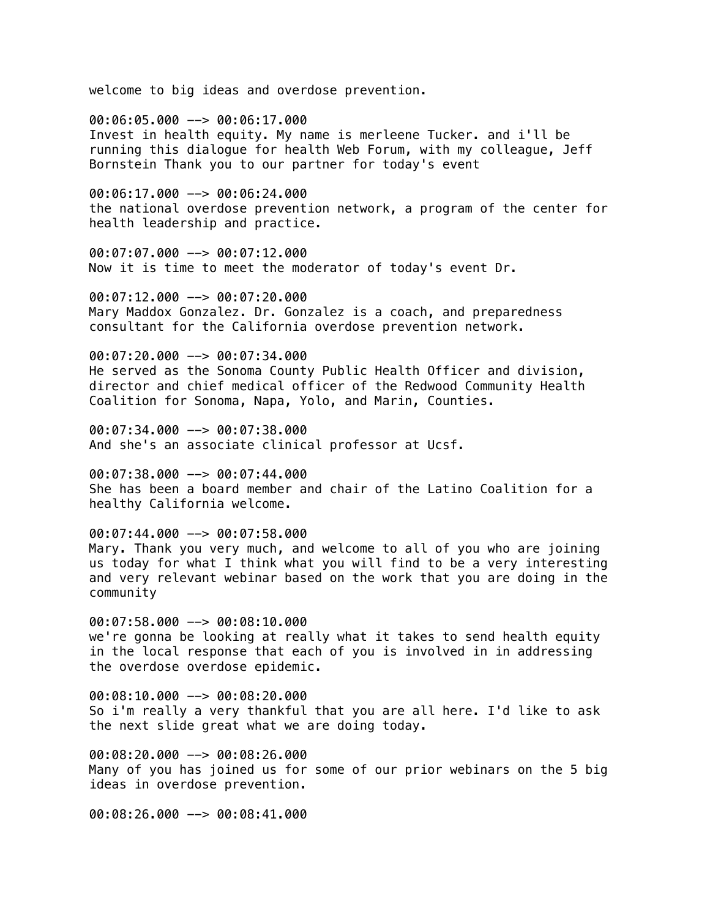welcome to big ideas and overdose prevention.

00:06:05.000 --> 00:06:17.000 Invest in health equity. My name is merleene Tucker. and i'll be running this dialogue for health Web Forum, with my colleague, Jeff Bornstein Thank you to our partner for today's event

00:06:17.000 --> 00:06:24.000 the national overdose prevention network, a program of the center for health leadership and practice.

00:07:07.000 --> 00:07:12.000 Now it is time to meet the moderator of today's event Dr.

00:07:12.000 --> 00:07:20.000 Mary Maddox Gonzalez. Dr. Gonzalez is a coach, and preparedness consultant for the California overdose prevention network.

00:07:20.000 --> 00:07:34.000 He served as the Sonoma County Public Health Officer and division, director and chief medical officer of the Redwood Community Health Coalition for Sonoma, Napa, Yolo, and Marin, Counties.

00:07:34.000 --> 00:07:38.000 And she's an associate clinical professor at Ucsf.

00:07:38.000 --> 00:07:44.000 She has been a board member and chair of the Latino Coalition for a healthy California welcome.

00:07:44.000 --> 00:07:58.000 Mary. Thank you very much, and welcome to all of you who are joining us today for what I think what you will find to be a very interesting and very relevant webinar based on the work that you are doing in the community

 $00:07:58.000$  -->  $00:08:10.000$ we're gonna be looking at really what it takes to send health equity in the local response that each of you is involved in in addressing the overdose overdose epidemic.

00:08:10.000 --> 00:08:20.000 So i'm really a very thankful that you are all here. I'd like to ask the next slide great what we are doing today.

00:08:20.000 --> 00:08:26.000 Many of you has joined us for some of our prior webinars on the 5 big ideas in overdose prevention.

00:08:26.000 --> 00:08:41.000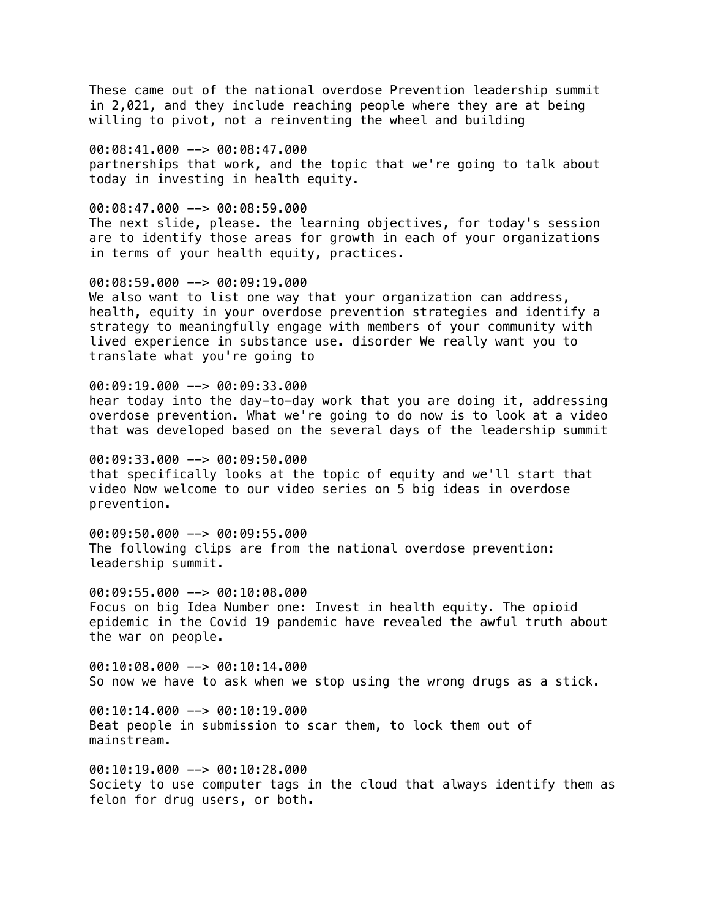These came out of the national overdose Prevention leadership summit in 2,021, and they include reaching people where they are at being willing to pivot, not a reinventing the wheel and building

00:08:41.000 --> 00:08:47.000 partnerships that work, and the topic that we're going to talk about today in investing in health equity.

00:08:47.000 --> 00:08:59.000 The next slide, please. the learning objectives, for today's session are to identify those areas for growth in each of your organizations in terms of your health equity, practices.

00:08:59.000 --> 00:09:19.000 We also want to list one way that your organization can address, health, equity in your overdose prevention strategies and identify a strategy to meaningfully engage with members of your community with lived experience in substance use. disorder We really want you to translate what you're going to

00:09:19.000 --> 00:09:33.000 hear today into the day-to-day work that you are doing it, addressing overdose prevention. What we're going to do now is to look at a video that was developed based on the several days of the leadership summit

00:09:33.000 --> 00:09:50.000 that specifically looks at the topic of equity and we'll start that video Now welcome to our video series on 5 big ideas in overdose prevention.

00:09:50.000 --> 00:09:55.000 The following clips are from the national overdose prevention: leadership summit.

00:09:55.000 --> 00:10:08.000 Focus on big Idea Number one: Invest in health equity. The opioid epidemic in the Covid 19 pandemic have revealed the awful truth about the war on people.

00:10:08.000 --> 00:10:14.000 So now we have to ask when we stop using the wrong drugs as a stick.

 $00:10:14.000$  -->  $00:10:19.000$ Beat people in submission to scar them, to lock them out of mainstream.

00:10:19.000 --> 00:10:28.000 Society to use computer tags in the cloud that always identify them as felon for drug users, or both.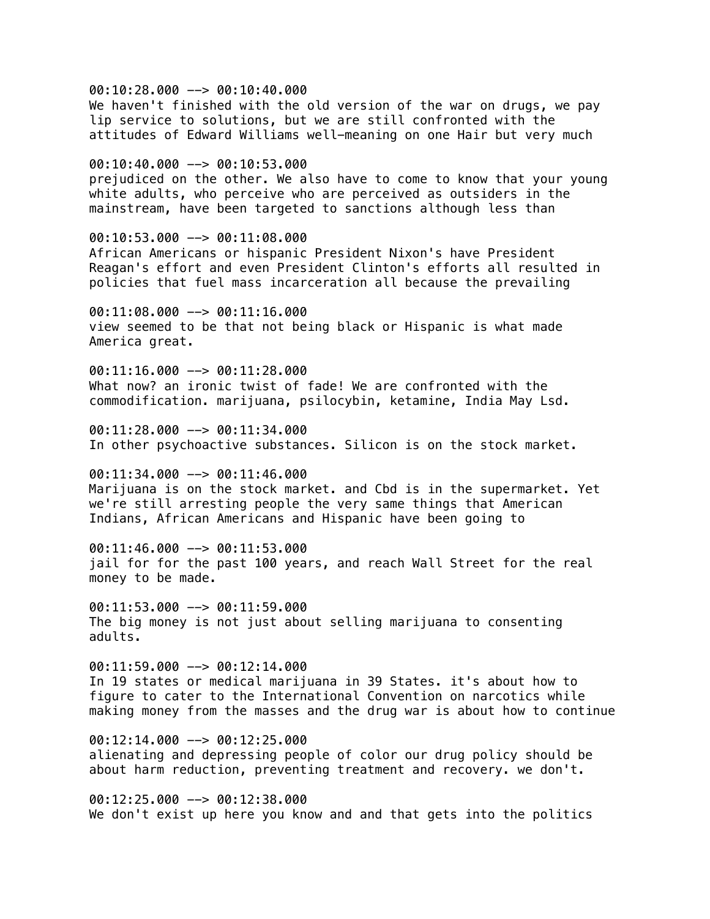00:10:28.000 --> 00:10:40.000 We haven't finished with the old version of the war on drugs, we pay lip service to solutions, but we are still confronted with the attitudes of Edward Williams well-meaning on one Hair but very much

00:10:40.000 --> 00:10:53.000 prejudiced on the other. We also have to come to know that your young white adults, who perceive who are perceived as outsiders in the mainstream, have been targeted to sanctions although less than

00:10:53.000 --> 00:11:08.000 African Americans or hispanic President Nixon's have President Reagan's effort and even President Clinton's efforts all resulted in policies that fuel mass incarceration all because the prevailing

00:11:08.000 --> 00:11:16.000 view seemed to be that not being black or Hispanic is what made America great.

 $00:11:16.000$  -->  $00:11:28.000$ What now? an ironic twist of fade! We are confronted with the commodification. marijuana, psilocybin, ketamine, India May Lsd.

 $00:11:28.000$  -->  $00:11:34.000$ In other psychoactive substances. Silicon is on the stock market.

 $00:11:34.000$   $\rightarrow$  00:11:46.000 Marijuana is on the stock market. and Cbd is in the supermarket. Yet we're still arresting people the very same things that American Indians, African Americans and Hispanic have been going to

00:11:46.000 --> 00:11:53.000 jail for for the past 100 years, and reach Wall Street for the real money to be made.

00:11:53.000 --> 00:11:59.000 The big money is not just about selling marijuana to consenting adults.

00:11:59.000 --> 00:12:14.000 In 19 states or medical marijuana in 39 States. it's about how to figure to cater to the International Convention on narcotics while making money from the masses and the drug war is about how to continue

 $00:12:14.000$  -->  $00:12:25.000$ alienating and depressing people of color our drug policy should be about harm reduction, preventing treatment and recovery. we don't.

00:12:25.000 --> 00:12:38.000 We don't exist up here you know and and that gets into the politics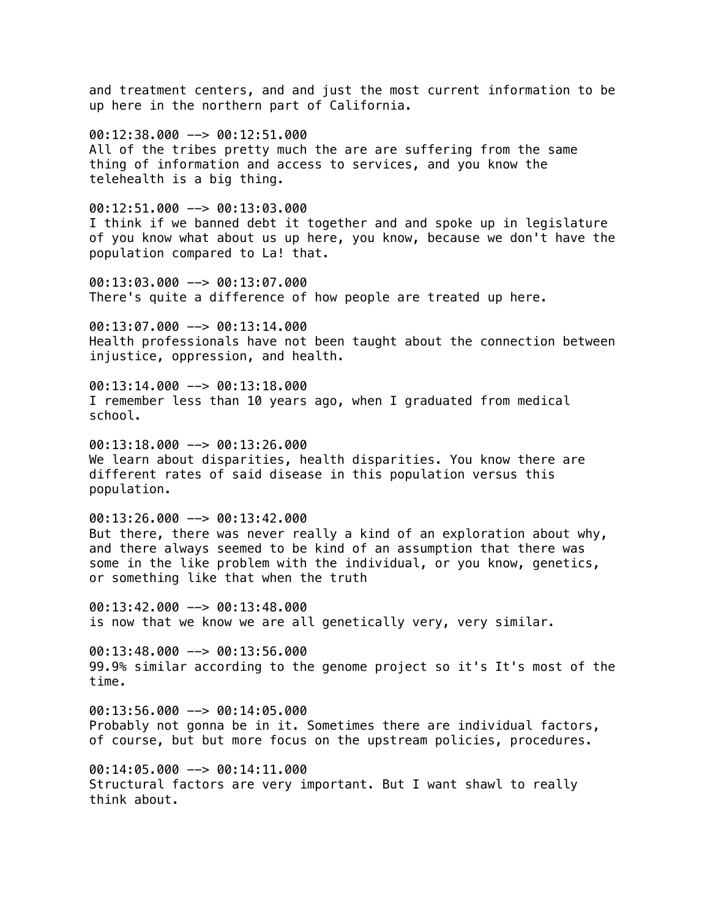and treatment centers, and and just the most current information to be up here in the northern part of California.

00:12:38.000 --> 00:12:51.000 All of the tribes pretty much the are are suffering from the same thing of information and access to services, and you know the telehealth is a big thing.

00:12:51.000 --> 00:13:03.000 I think if we banned debt it together and and spoke up in legislature of you know what about us up here, you know, because we don't have the population compared to La! that.

00:13:03.000 --> 00:13:07.000 There's quite a difference of how people are treated up here.

00:13:07.000 --> 00:13:14.000 Health professionals have not been taught about the connection between injustice, oppression, and health.

 $00:13:14.000$  -->  $00:13:18.000$ I remember less than 10 years ago, when I graduated from medical school.

 $00:13:18.000$  -->  $00:13:26.000$ We learn about disparities, health disparities. You know there are different rates of said disease in this population versus this population.

00:13:26.000 --> 00:13:42.000 But there, there was never really a kind of an exploration about why, and there always seemed to be kind of an assumption that there was some in the like problem with the individual, or you know, genetics, or something like that when the truth

00:13:42.000 --> 00:13:48.000 is now that we know we are all genetically very, very similar.

00:13:48.000 --> 00:13:56.000 99.9% similar according to the genome project so it's It's most of the time.

 $00:13:56.000$  -->  $00:14:05.000$ Probably not gonna be in it. Sometimes there are individual factors, of course, but but more focus on the upstream policies, procedures.

00:14:05.000 --> 00:14:11.000 Structural factors are very important. But I want shawl to really think about.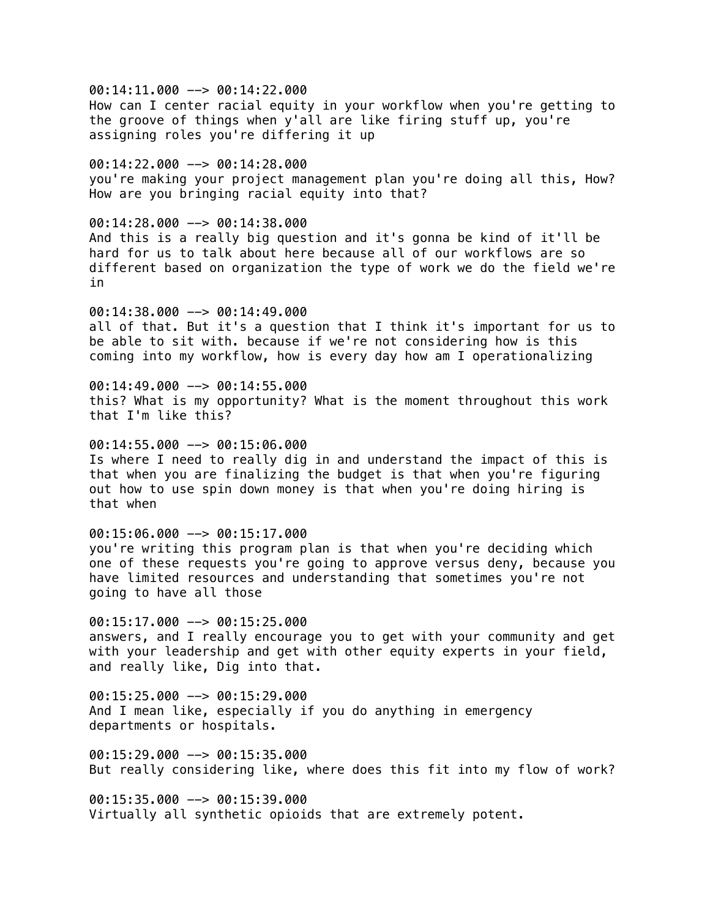00:14:11.000 --> 00:14:22.000 How can I center racial equity in your workflow when you're getting to the groove of things when y'all are like firing stuff up, you're assigning roles you're differing it up

00:14:22.000 --> 00:14:28.000 you're making your project management plan you're doing all this, How? How are you bringing racial equity into that?

00:14:28.000 --> 00:14:38.000 And this is a really big question and it's gonna be kind of it'll be hard for us to talk about here because all of our workflows are so different based on organization the type of work we do the field we're in

00:14:38.000 --> 00:14:49.000 all of that. But it's a question that I think it's important for us to be able to sit with. because if we're not considering how is this coming into my workflow, how is every day how am I operationalizing

00:14:49.000 --> 00:14:55.000 this? What is my opportunity? What is the moment throughout this work that I'm like this?

 $00:14:55.000$   $\rightarrow$  00:15:06.000 Is where I need to really dig in and understand the impact of this is that when you are finalizing the budget is that when you're figuring out how to use spin down money is that when you're doing hiring is that when

 $00:15:06.000$  -->  $00:15:17.000$ you're writing this program plan is that when you're deciding which one of these requests you're going to approve versus deny, because you have limited resources and understanding that sometimes you're not going to have all those

 $00:15:17.000$  -->  $00:15:25.000$ answers, and I really encourage you to get with your community and get with your leadership and get with other equity experts in your field, and really like, Dig into that.

00:15:25.000 --> 00:15:29.000 And I mean like, especially if you do anything in emergency departments or hospitals.

00:15:29.000 --> 00:15:35.000 But really considering like, where does this fit into my flow of work?

00:15:35.000 --> 00:15:39.000 Virtually all synthetic opioids that are extremely potent.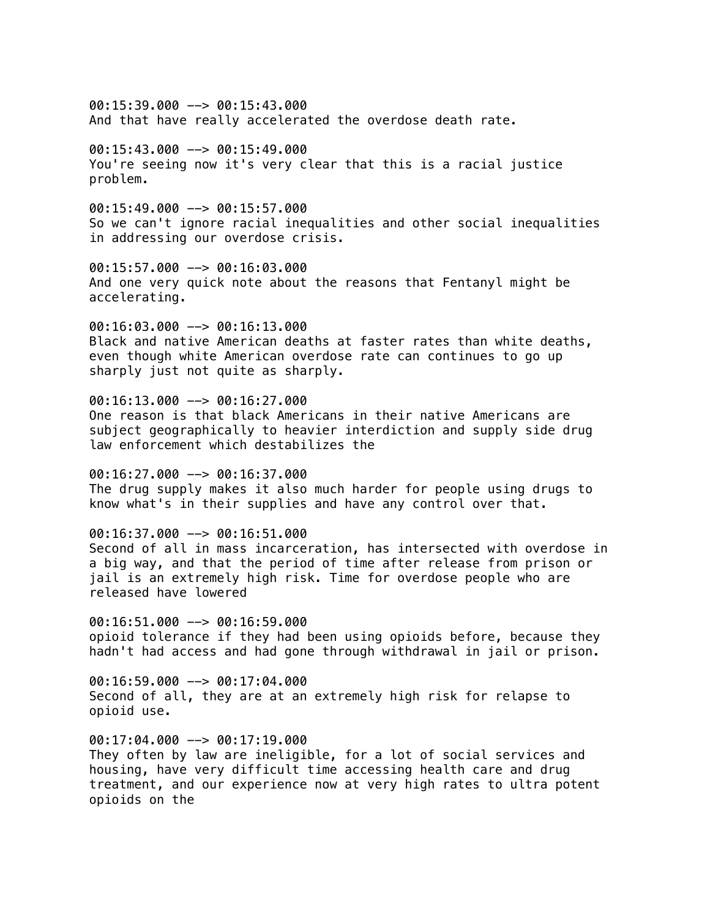$00:15:39.000$  -->  $00:15:43.000$ And that have really accelerated the overdose death rate.

 $00:15:43.000$  -->  $00:15:49.000$ You're seeing now it's very clear that this is a racial justice problem.

 $00:15:49.000$  -->  $00:15:57.000$ So we can't ignore racial inequalities and other social inequalities in addressing our overdose crisis.

00:15:57.000 --> 00:16:03.000 And one very quick note about the reasons that Fentanyl might be accelerating.

00:16:03.000 --> 00:16:13.000 Black and native American deaths at faster rates than white deaths, even though white American overdose rate can continues to go up sharply just not quite as sharply.

00:16:13.000 --> 00:16:27.000

One reason is that black Americans in their native Americans are subject geographically to heavier interdiction and supply side drug law enforcement which destabilizes the

00:16:27.000 --> 00:16:37.000 The drug supply makes it also much harder for people using drugs to know what's in their supplies and have any control over that.

00:16:37.000 --> 00:16:51.000 Second of all in mass incarceration, has intersected with overdose in a big way, and that the period of time after release from prison or jail is an extremely high risk. Time for overdose people who are released have lowered

 $00:16:51.000$  -->  $00:16:59.000$ opioid tolerance if they had been using opioids before, because they hadn't had access and had gone through withdrawal in jail or prison.

00:16:59.000 --> 00:17:04.000 Second of all, they are at an extremely high risk for relapse to opioid use.

 $00:17:04.000$  -->  $00:17:19.000$ They often by law are ineligible, for a lot of social services and housing, have very difficult time accessing health care and drug treatment, and our experience now at very high rates to ultra potent opioids on the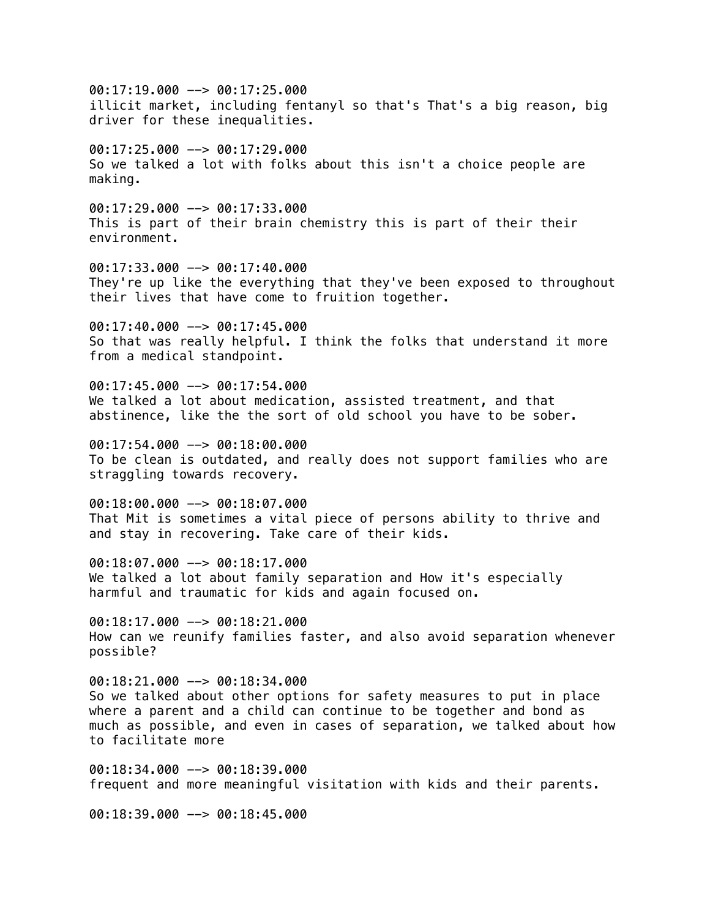00:17:19.000 --> 00:17:25.000 illicit market, including fentanyl so that's That's a big reason, big driver for these inequalities.  $00:17:25.000$  -->  $00:17:29.000$ So we talked a lot with folks about this isn't a choice people are making. 00:17:29.000 --> 00:17:33.000 This is part of their brain chemistry this is part of their their environment. 00:17:33.000 --> 00:17:40.000 They're up like the everything that they've been exposed to throughout their lives that have come to fruition together. 00:17:40.000 --> 00:17:45.000 So that was really helpful. I think the folks that understand it more from a medical standpoint. 00:17:45.000 --> 00:17:54.000 We talked a lot about medication, assisted treatment, and that abstinence, like the the sort of old school you have to be sober.  $0.0111:54.000$   $\rightarrow$  00:18:00.000 To be clean is outdated, and really does not support families who are straggling towards recovery. 00:18:00.000 --> 00:18:07.000 That Mit is sometimes a vital piece of persons ability to thrive and and stay in recovering. Take care of their kids. 00:18:07.000 --> 00:18:17.000 We talked a lot about family separation and How it's especially harmful and traumatic for kids and again focused on.  $00:18:17.000$  -->  $00:18:21.000$ How can we reunify families faster, and also avoid separation whenever possible? 00:18:21.000 --> 00:18:34.000 So we talked about other options for safety measures to put in place where a parent and a child can continue to be together and bond as much as possible, and even in cases of separation, we talked about how to facilitate more 00:18:34.000 --> 00:18:39.000 frequent and more meaningful visitation with kids and their parents. 00:18:39.000 --> 00:18:45.000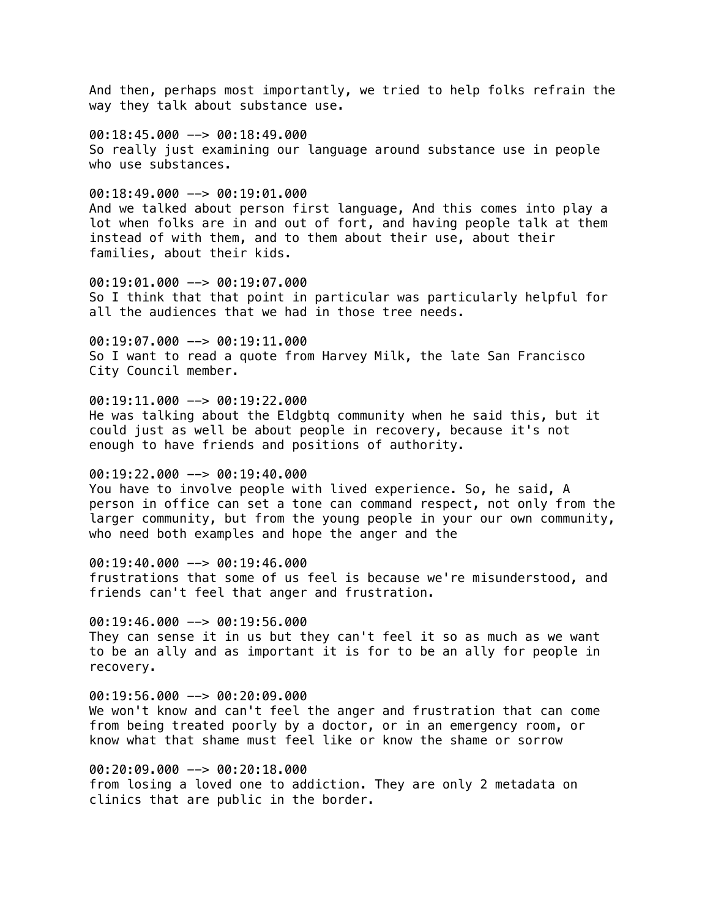And then, perhaps most importantly, we tried to help folks refrain the way they talk about substance use.

00:18:45.000 --> 00:18:49.000 So really just examining our language around substance use in people who use substances.

 $00:18:49.000$  -->  $00:19:01.000$ And we talked about person first language, And this comes into play a lot when folks are in and out of fort, and having people talk at them instead of with them, and to them about their use, about their families, about their kids.

00:19:01.000 --> 00:19:07.000 So I think that that point in particular was particularly helpful for all the audiences that we had in those tree needs.

00:19:07.000 --> 00:19:11.000 So I want to read a quote from Harvey Milk, the late San Francisco City Council member.

# $00:19:11.000$  -->  $00:19:22.000$

He was talking about the Eldgbtq community when he said this, but it could just as well be about people in recovery, because it's not enough to have friends and positions of authority.

## $00:19:22.000$  -->  $00:19:40.000$

You have to involve people with lived experience. So, he said, A person in office can set a tone can command respect, not only from the larger community, but from the young people in your our own community, who need both examples and hope the anger and the

00:19:40.000 --> 00:19:46.000

frustrations that some of us feel is because we're misunderstood, and friends can't feel that anger and frustration.

 $00:19:46.000$  -->  $00:19:56.000$ 

They can sense it in us but they can't feel it so as much as we want to be an ally and as important it is for to be an ally for people in recovery.

### 00:19:56.000 --> 00:20:09.000

We won't know and can't feel the anger and frustration that can come from being treated poorly by a doctor, or in an emergency room, or know what that shame must feel like or know the shame or sorrow

00:20:09.000 --> 00:20:18.000 from losing a loved one to addiction. They are only 2 metadata on clinics that are public in the border.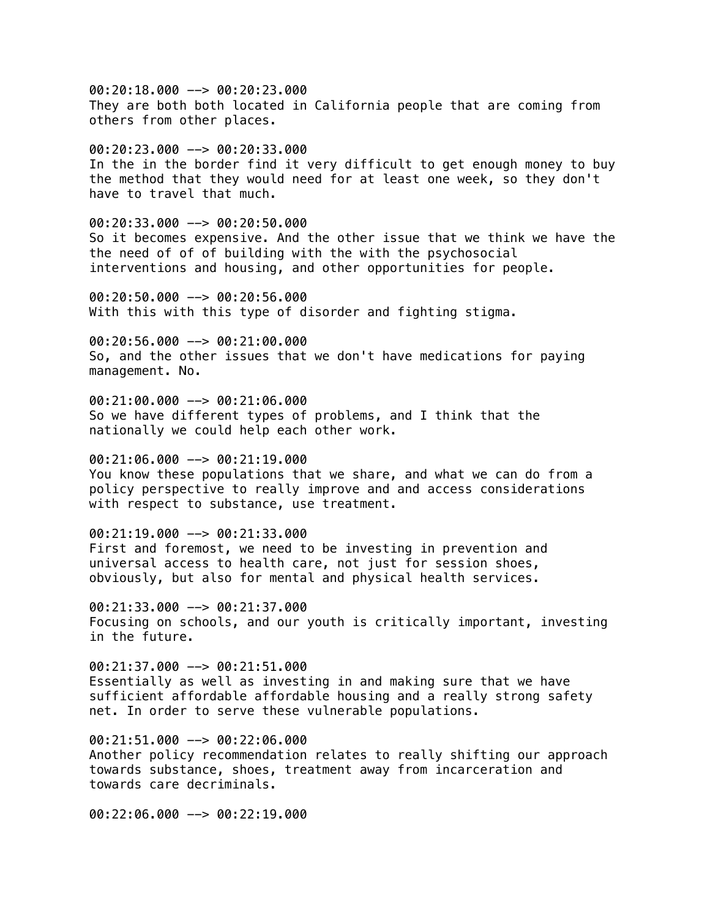00:20:18.000 --> 00:20:23.000 They are both both located in California people that are coming from others from other places.

 $00:20:23.000$  -->  $00:20:33.000$ In the in the border find it very difficult to get enough money to buy the method that they would need for at least one week, so they don't have to travel that much.

00:20:33.000 --> 00:20:50.000 So it becomes expensive. And the other issue that we think we have the the need of of of building with the with the psychosocial interventions and housing, and other opportunities for people.

00:20:50.000 --> 00:20:56.000 With this with this type of disorder and fighting stigma.

00:20:56.000 --> 00:21:00.000 So, and the other issues that we don't have medications for paying management. No.

00:21:00.000 --> 00:21:06.000 So we have different types of problems, and I think that the nationally we could help each other work.

00:21:06.000 --> 00:21:19.000 You know these populations that we share, and what we can do from a policy perspective to really improve and and access considerations with respect to substance, use treatment.

00:21:19.000 --> 00:21:33.000 First and foremost, we need to be investing in prevention and universal access to health care, not just for session shoes, obviously, but also for mental and physical health services.

00:21:33.000 --> 00:21:37.000 Focusing on schools, and our youth is critically important, investing in the future.

 $00:21:37.000$  -->  $00:21:51.000$ Essentially as well as investing in and making sure that we have sufficient affordable affordable housing and a really strong safety net. In order to serve these vulnerable populations.

00:21:51.000 --> 00:22:06.000 Another policy recommendation relates to really shifting our approach towards substance, shoes, treatment away from incarceration and towards care decriminals.

00:22:06.000 --> 00:22:19.000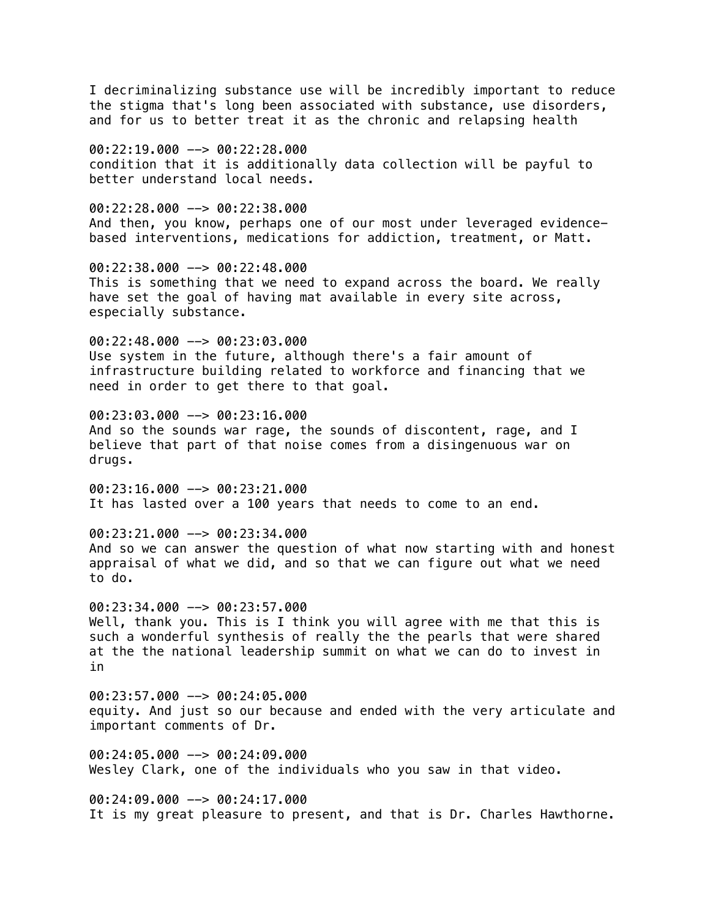I decriminalizing substance use will be incredibly important to reduce the stigma that's long been associated with substance, use disorders, and for us to better treat it as the chronic and relapsing health

 $00:22:19.000$  -->  $00:22:28.000$ condition that it is additionally data collection will be payful to better understand local needs.

 $00:22:28.000$  -->  $00:22:38.000$ And then, you know, perhaps one of our most under leveraged evidencebased interventions, medications for addiction, treatment, or Matt.

00:22:38.000 --> 00:22:48.000 This is something that we need to expand across the board. We really have set the goal of having mat available in every site across, especially substance.

00:22:48.000 --> 00:23:03.000 Use system in the future, although there's a fair amount of infrastructure building related to workforce and financing that we need in order to get there to that goal.

00:23:03.000 --> 00:23:16.000 And so the sounds war rage, the sounds of discontent, rage, and I believe that part of that noise comes from a disingenuous war on drugs.

 $00:23:16.000$  -->  $00:23:21.000$ It has lasted over a 100 years that needs to come to an end.

00:23:21.000 --> 00:23:34.000 And so we can answer the question of what now starting with and honest appraisal of what we did, and so that we can figure out what we need to do.

00:23:34.000 --> 00:23:57.000 Well, thank you. This is I think you will agree with me that this is such a wonderful synthesis of really the the pearls that were shared at the the national leadership summit on what we can do to invest in in

 $00:23:57.000$  -->  $00:24:05.000$ equity. And just so our because and ended with the very articulate and important comments of Dr.

00:24:05.000 --> 00:24:09.000 Wesley Clark, one of the individuals who you saw in that video.

00:24:09.000 --> 00:24:17.000 It is my great pleasure to present, and that is Dr. Charles Hawthorne.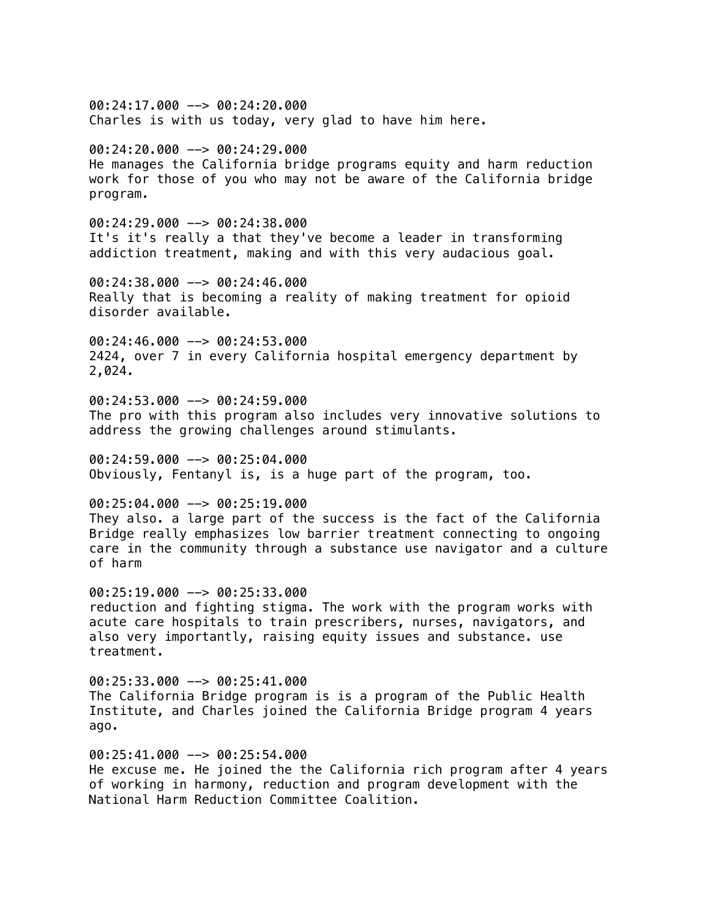$00:24:17.000$  -->  $00:24:20.000$ Charles is with us today, very glad to have him here.  $00:24:20.000$  -->  $00:24:29.000$ He manages the California bridge programs equity and harm reduction work for those of you who may not be aware of the California bridge program. 00:24:29.000 --> 00:24:38.000 It's it's really a that they've become a leader in transforming addiction treatment, making and with this very audacious goal. 00:24:38.000 --> 00:24:46.000 Really that is becoming a reality of making treatment for opioid disorder available. 00:24:46.000 --> 00:24:53.000 2424, over 7 in every California hospital emergency department by 2,024. 00:24:53.000 --> 00:24:59.000 The pro with this program also includes very innovative solutions to address the growing challenges around stimulants. 00:24:59.000 --> 00:25:04.000 Obviously, Fentanyl is, is a huge part of the program, too. 00:25:04.000 --> 00:25:19.000 They also. a large part of the success is the fact of the California Bridge really emphasizes low barrier treatment connecting to ongoing care in the community through a substance use navigator and a culture of harm 00:25:19.000 --> 00:25:33.000 reduction and fighting stigma. The work with the program works with acute care hospitals to train prescribers, nurses, navigators, and also very importantly, raising equity issues and substance. use treatment. 00:25:33.000 --> 00:25:41.000 The California Bridge program is is a program of the Public Health Institute, and Charles joined the California Bridge program 4 years ago. 00:25:41.000 --> 00:25:54.000 He excuse me. He joined the the California rich program after 4 years of working in harmony, reduction and program development with the National Harm Reduction Committee Coalition.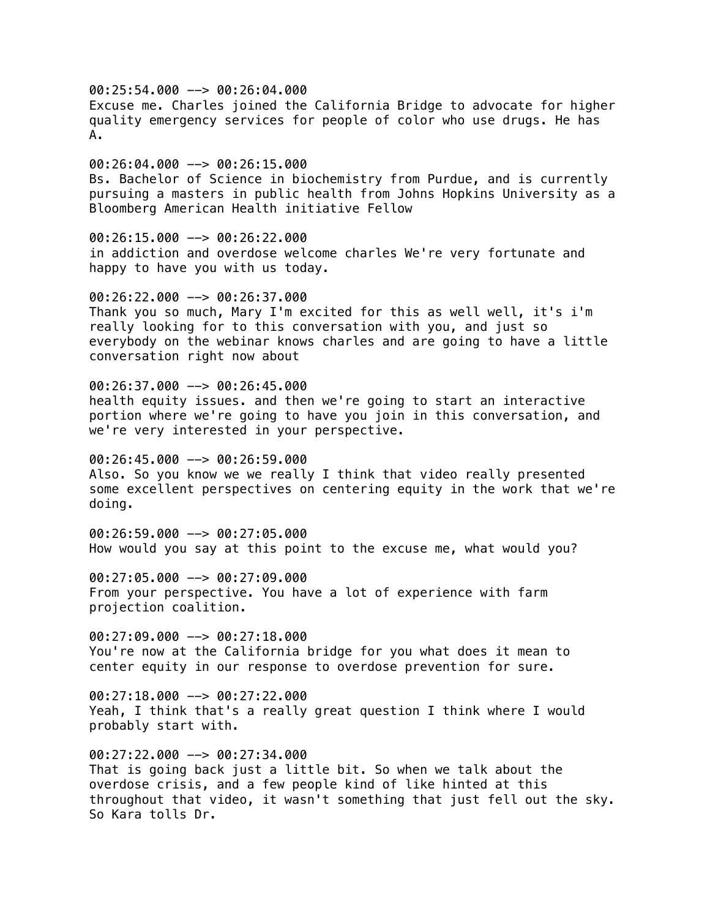00:25:54.000 --> 00:26:04.000 Excuse me. Charles joined the California Bridge to advocate for higher quality emergency services for people of color who use drugs. He has A.

00:26:04.000 --> 00:26:15.000 Bs. Bachelor of Science in biochemistry from Purdue, and is currently pursuing a masters in public health from Johns Hopkins University as a Bloomberg American Health initiative Fellow

00:26:15.000 --> 00:26:22.000 in addiction and overdose welcome charles We're very fortunate and happy to have you with us today.

00:26:22.000 --> 00:26:37.000 Thank you so much, Mary I'm excited for this as well well, it's i'm really looking for to this conversation with you, and just so everybody on the webinar knows charles and are going to have a little conversation right now about

00:26:37.000 --> 00:26:45.000 health equity issues. and then we're going to start an interactive portion where we're going to have you join in this conversation, and we're very interested in your perspective.

00:26:45.000 --> 00:26:59.000 Also. So you know we we really I think that video really presented some excellent perspectives on centering equity in the work that we're doing.

00:26:59.000 --> 00:27:05.000 How would you say at this point to the excuse me, what would you?

00:27:05.000 --> 00:27:09.000 From your perspective. You have a lot of experience with farm projection coalition.

00:27:09.000 --> 00:27:18.000 You're now at the California bridge for you what does it mean to center equity in our response to overdose prevention for sure.

00:27:18.000 --> 00:27:22.000 Yeah, I think that's a really great question I think where I would probably start with.

00:27:22.000 --> 00:27:34.000 That is going back just a little bit. So when we talk about the overdose crisis, and a few people kind of like hinted at this throughout that video, it wasn't something that just fell out the sky. So Kara tolls Dr.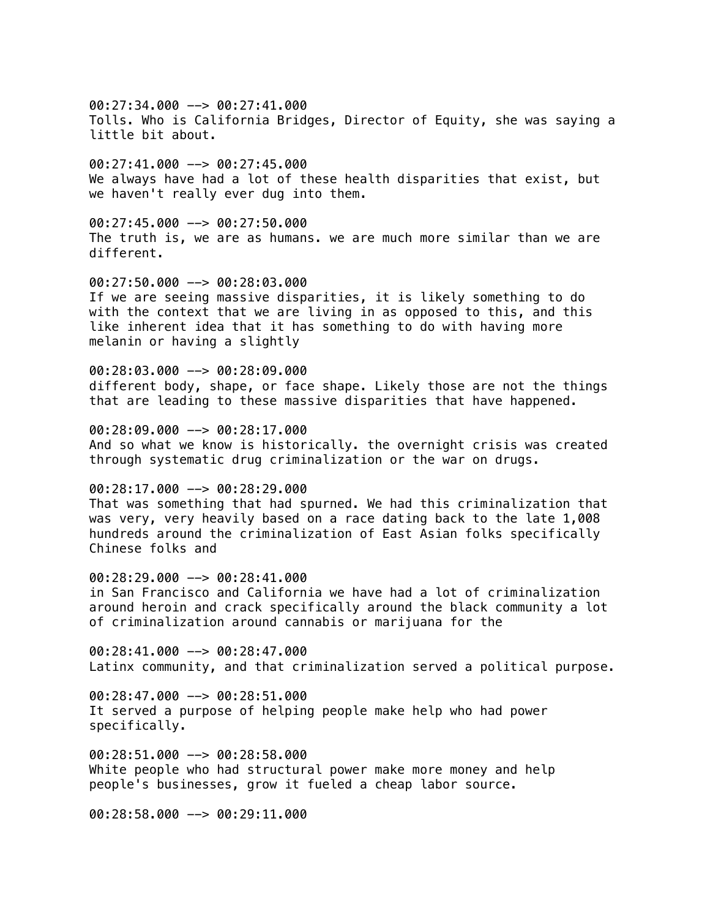$00:27:34.000$  -->  $00:27:41.000$ Tolls. Who is California Bridges, Director of Equity, she was saying a little bit about.

00:27:41.000 --> 00:27:45.000 We always have had a lot of these health disparities that exist, but we haven't really ever dug into them.

00:27:45.000 --> 00:27:50.000 The truth is, we are as humans. we are much more similar than we are different.

00:27:50.000 --> 00:28:03.000 If we are seeing massive disparities, it is likely something to do with the context that we are living in as opposed to this, and this like inherent idea that it has something to do with having more melanin or having a slightly

00:28:03.000 --> 00:28:09.000 different body, shape, or face shape. Likely those are not the things that are leading to these massive disparities that have happened.

00:28:09.000 --> 00:28:17.000 And so what we know is historically. the overnight crisis was created through systematic drug criminalization or the war on drugs.

00:28:17.000 --> 00:28:29.000 That was something that had spurned. We had this criminalization that was very, very heavily based on a race dating back to the late 1,008 hundreds around the criminalization of East Asian folks specifically Chinese folks and

 $00:28:29.000$  -->  $00:28:41.000$ in San Francisco and California we have had a lot of criminalization around heroin and crack specifically around the black community a lot of criminalization around cannabis or marijuana for the

00:28:41.000 --> 00:28:47.000 Latinx community, and that criminalization served a political purpose.

00:28:47.000 --> 00:28:51.000 It served a purpose of helping people make help who had power specifically.

00:28:51.000 --> 00:28:58.000 White people who had structural power make more money and help people's businesses, grow it fueled a cheap labor source.

00:28:58.000 --> 00:29:11.000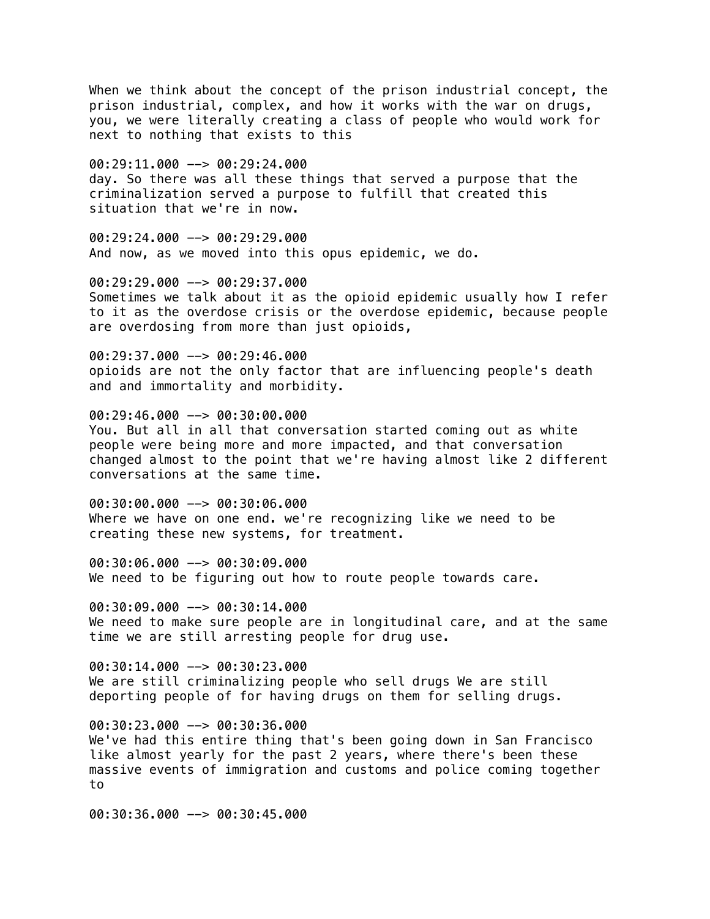When we think about the concept of the prison industrial concept, the prison industrial, complex, and how it works with the war on drugs, you, we were literally creating a class of people who would work for next to nothing that exists to this

00:29:11.000 --> 00:29:24.000 day. So there was all these things that served a purpose that the criminalization served a purpose to fulfill that created this situation that we're in now.

 $00:29:24.000$  -->  $00:29:29.000$ And now, as we moved into this opus epidemic, we do.

00:29:29.000 --> 00:29:37.000 Sometimes we talk about it as the opioid epidemic usually how I refer to it as the overdose crisis or the overdose epidemic, because people are overdosing from more than just opioids,

00:29:37.000 --> 00:29:46.000 opioids are not the only factor that are influencing people's death and and immortality and morbidity.

00:29:46.000 --> 00:30:00.000 You. But all in all that conversation started coming out as white people were being more and more impacted, and that conversation changed almost to the point that we're having almost like 2 different conversations at the same time.

00:30:00.000 --> 00:30:06.000 Where we have on one end. we're recognizing like we need to be creating these new systems, for treatment.

00:30:06.000 --> 00:30:09.000 We need to be figuring out how to route people towards care.

00:30:09.000 --> 00:30:14.000 We need to make sure people are in longitudinal care, and at the same time we are still arresting people for drug use.

00:30:14.000 --> 00:30:23.000 We are still criminalizing people who sell drugs We are still deporting people of for having drugs on them for selling drugs.

00:30:23.000 --> 00:30:36.000 We've had this entire thing that's been going down in San Francisco like almost yearly for the past 2 years, where there's been these massive events of immigration and customs and police coming together to

00:30:36.000 --> 00:30:45.000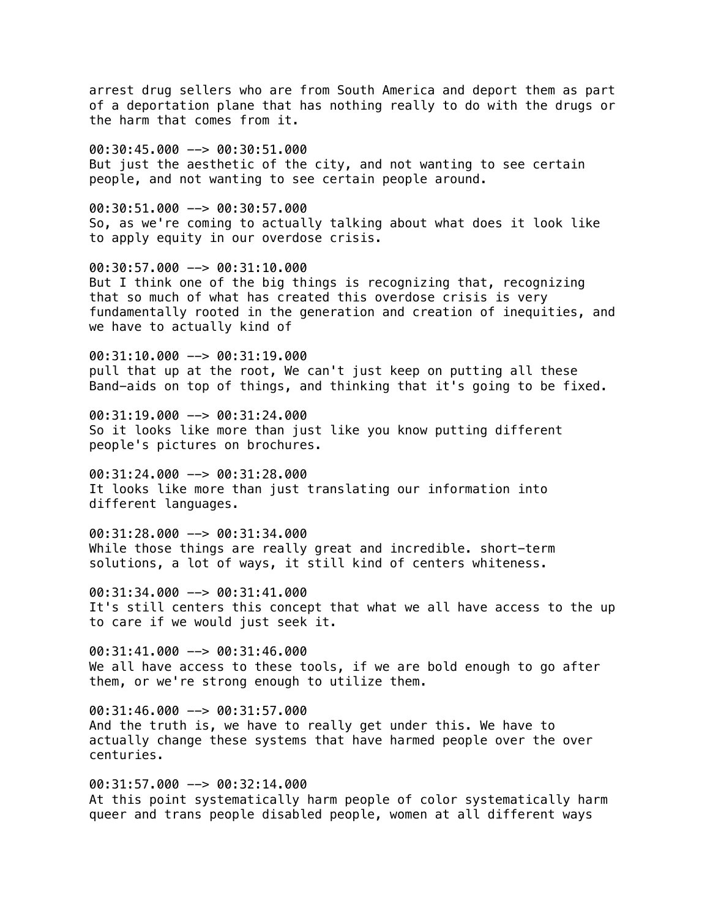arrest drug sellers who are from South America and deport them as part of a deportation plane that has nothing really to do with the drugs or the harm that comes from it.

00:30:45.000 --> 00:30:51.000 But just the aesthetic of the city, and not wanting to see certain people, and not wanting to see certain people around.

00:30:51.000 --> 00:30:57.000 So, as we're coming to actually talking about what does it look like to apply equity in our overdose crisis.

00:30:57.000 --> 00:31:10.000 But I think one of the big things is recognizing that, recognizing that so much of what has created this overdose crisis is very fundamentally rooted in the generation and creation of inequities, and we have to actually kind of

00:31:10.000 --> 00:31:19.000 pull that up at the root, We can't just keep on putting all these Band-aids on top of things, and thinking that it's going to be fixed.

00:31:19.000 --> 00:31:24.000 So it looks like more than just like you know putting different people's pictures on brochures.

00:31:24.000 --> 00:31:28.000 It looks like more than just translating our information into different languages.

00:31:28.000 --> 00:31:34.000 While those things are really great and incredible. short-term solutions, a lot of ways, it still kind of centers whiteness.

00:31:34.000 --> 00:31:41.000 It's still centers this concept that what we all have access to the up to care if we would just seek it.

00:31:41.000 --> 00:31:46.000 We all have access to these tools, if we are bold enough to go after them, or we're strong enough to utilize them.

 $00:31:46.000$  -->  $00:31:57.000$ And the truth is, we have to really get under this. We have to actually change these systems that have harmed people over the over centuries.

00:31:57.000 --> 00:32:14.000 At this point systematically harm people of color systematically harm queer and trans people disabled people, women at all different ways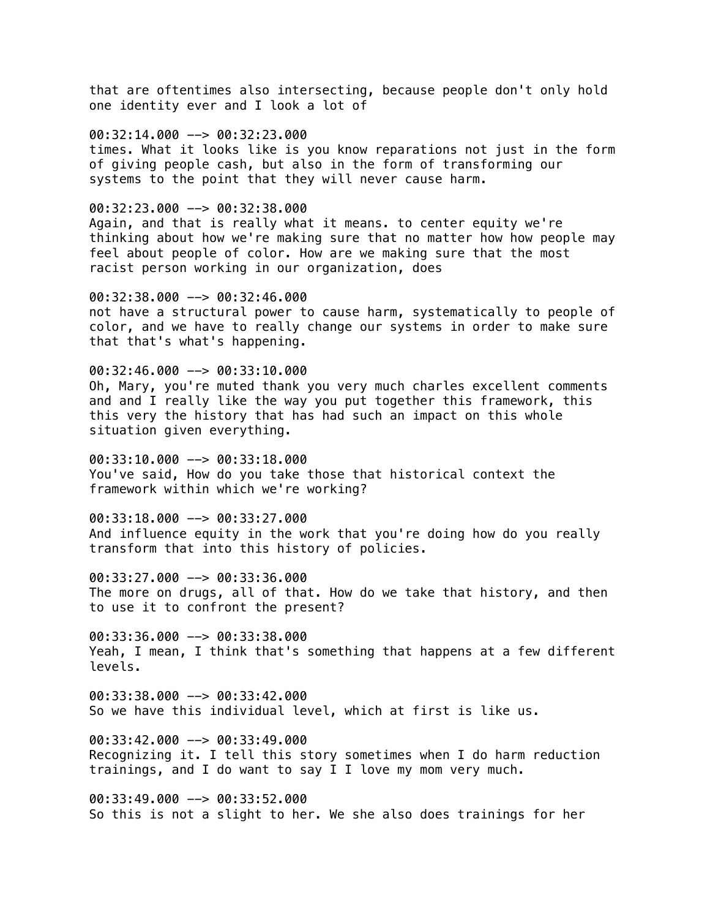that are oftentimes also intersecting, because people don't only hold one identity ever and I look a lot of

#### 00:32:14.000 --> 00:32:23.000

times. What it looks like is you know reparations not just in the form of giving people cash, but also in the form of transforming our systems to the point that they will never cause harm.

#### 00:32:23.000 --> 00:32:38.000

Again, and that is really what it means. to center equity we're thinking about how we're making sure that no matter how how people may feel about people of color. How are we making sure that the most racist person working in our organization, does

00:32:38.000 --> 00:32:46.000 not have a structural power to cause harm, systematically to people of color, and we have to really change our systems in order to make sure that that's what's happening.

 $00:32:46.000$  -->  $00:33:10.000$ 

Oh, Mary, you're muted thank you very much charles excellent comments and and I really like the way you put together this framework, this this very the history that has had such an impact on this whole situation given everything.

00:33:10.000 --> 00:33:18.000 You've said, How do you take those that historical context the framework within which we're working?

00:33:18.000 --> 00:33:27.000 And influence equity in the work that you're doing how do you really transform that into this history of policies.

00:33:27.000 --> 00:33:36.000 The more on drugs, all of that. How do we take that history, and then to use it to confront the present?

00:33:36.000 --> 00:33:38.000 Yeah, I mean, I think that's something that happens at a few different levels.

00:33:38.000 --> 00:33:42.000 So we have this individual level, which at first is like us.

00:33:42.000 --> 00:33:49.000 Recognizing it. I tell this story sometimes when I do harm reduction trainings, and I do want to say I I love my mom very much.

00:33:49.000 --> 00:33:52.000 So this is not a slight to her. We she also does trainings for her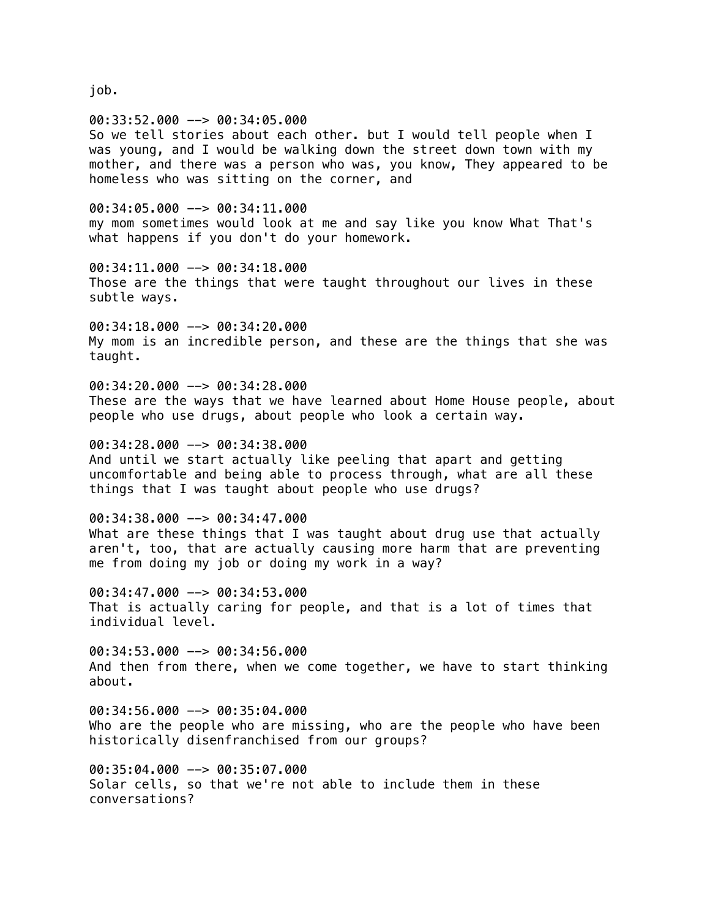job.

00:33:52.000 --> 00:34:05.000 So we tell stories about each other. but I would tell people when I was young, and I would be walking down the street down town with my mother, and there was a person who was, you know, They appeared to be homeless who was sitting on the corner, and

00:34:05.000 --> 00:34:11.000 my mom sometimes would look at me and say like you know What That's what happens if you don't do your homework.

00:34:11.000 --> 00:34:18.000 Those are the things that were taught throughout our lives in these subtle ways.

00:34:18.000 --> 00:34:20.000 My mom is an incredible person, and these are the things that she was taught.

00:34:20.000 --> 00:34:28.000 These are the ways that we have learned about Home House people, about people who use drugs, about people who look a certain way.

00:34:28.000 --> 00:34:38.000 And until we start actually like peeling that apart and getting uncomfortable and being able to process through, what are all these things that I was taught about people who use drugs?

00:34:38.000 --> 00:34:47.000 What are these things that I was taught about drug use that actually aren't, too, that are actually causing more harm that are preventing me from doing my job or doing my work in a way?

00:34:47.000 --> 00:34:53.000 That is actually caring for people, and that is a lot of times that individual level.

00:34:53.000 --> 00:34:56.000 And then from there, when we come together, we have to start thinking about.

00:34:56.000 --> 00:35:04.000 Who are the people who are missing, who are the people who have been historically disenfranchised from our groups?

00:35:04.000 --> 00:35:07.000 Solar cells, so that we're not able to include them in these conversations?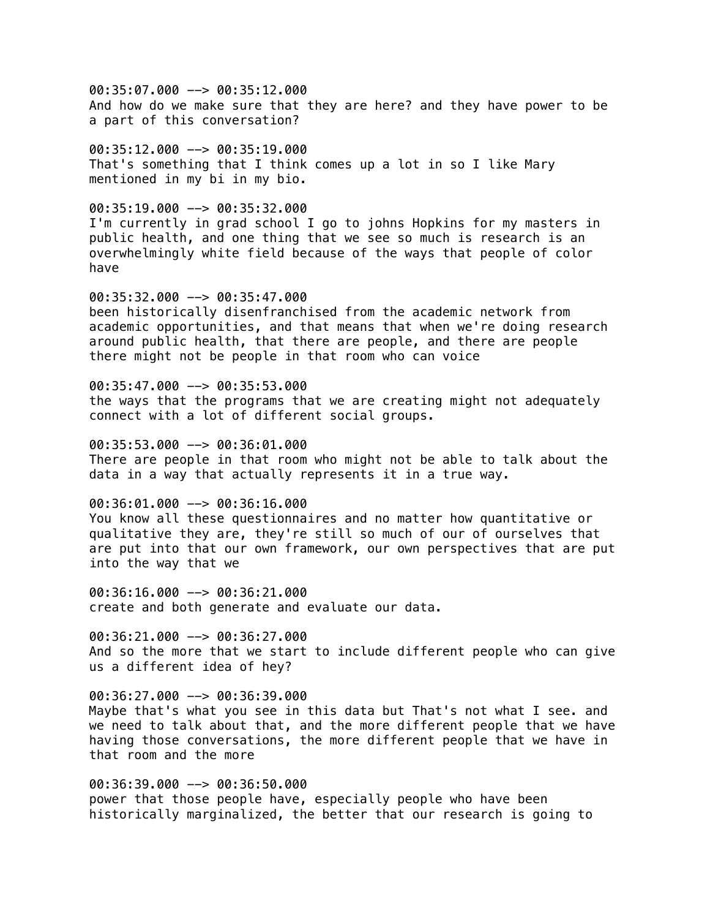00:35:07.000 --> 00:35:12.000 And how do we make sure that they are here? and they have power to be a part of this conversation?

 $00:35:12.000$  -->  $00:35:19.000$ That's something that I think comes up a lot in so I like Mary mentioned in my bi in my bio.

00:35:19.000 --> 00:35:32.000 I'm currently in grad school I go to johns Hopkins for my masters in public health, and one thing that we see so much is research is an overwhelmingly white field because of the ways that people of color have

00:35:32.000 --> 00:35:47.000 been historically disenfranchised from the academic network from academic opportunities, and that means that when we're doing research around public health, that there are people, and there are people there might not be people in that room who can voice

00:35:47.000 --> 00:35:53.000 the ways that the programs that we are creating might not adequately connect with a lot of different social groups.

00:35:53.000 --> 00:36:01.000 There are people in that room who might not be able to talk about the data in a way that actually represents it in a true way.

00:36:01.000 --> 00:36:16.000 You know all these questionnaires and no matter how quantitative or qualitative they are, they're still so much of our of ourselves that are put into that our own framework, our own perspectives that are put into the way that we

00:36:16.000 --> 00:36:21.000 create and both generate and evaluate our data.

00:36:21.000 --> 00:36:27.000 And so the more that we start to include different people who can give us a different idea of hey?

00:36:27.000 --> 00:36:39.000 Maybe that's what you see in this data but That's not what I see. and we need to talk about that, and the more different people that we have having those conversations, the more different people that we have in that room and the more

00:36:39.000 --> 00:36:50.000 power that those people have, especially people who have been historically marginalized, the better that our research is going to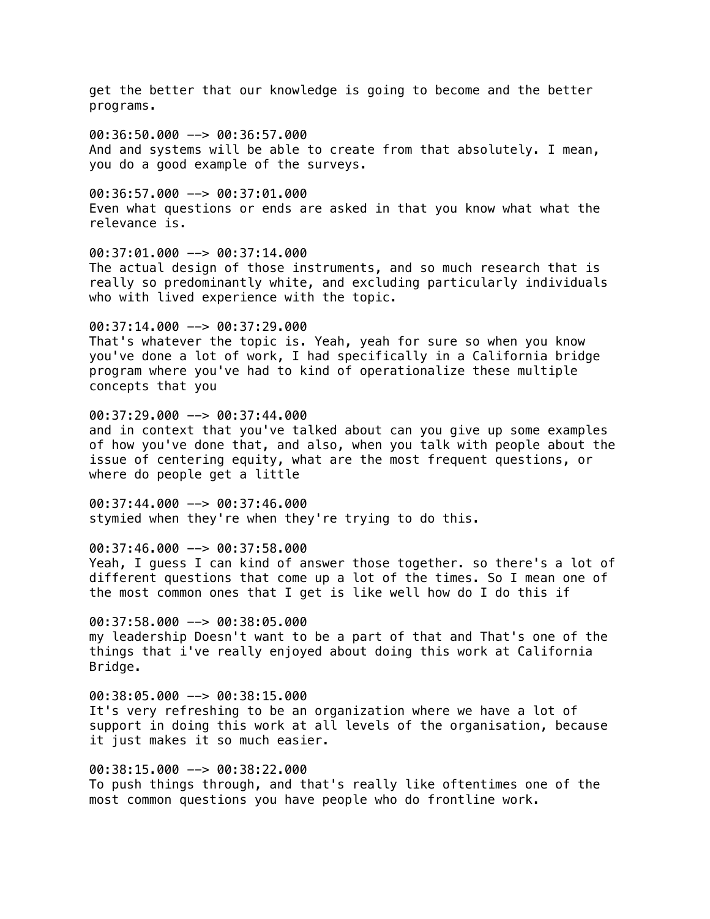get the better that our knowledge is going to become and the better programs.

00:36:50.000 --> 00:36:57.000 And and systems will be able to create from that absolutely. I mean, you do a good example of the surveys.

 $00:36:57.000$  -->  $00:37:01.000$ Even what questions or ends are asked in that you know what what the relevance is.

00:37:01.000 --> 00:37:14.000 The actual design of those instruments, and so much research that is really so predominantly white, and excluding particularly individuals who with lived experience with the topic.

00:37:14.000 --> 00:37:29.000 That's whatever the topic is. Yeah, yeah for sure so when you know you've done a lot of work, I had specifically in a California bridge program where you've had to kind of operationalize these multiple concepts that you

00:37:29.000 --> 00:37:44.000 and in context that you've talked about can you give up some examples of how you've done that, and also, when you talk with people about the issue of centering equity, what are the most frequent questions, or where do people get a little

00:37:44.000 --> 00:37:46.000 stymied when they're when they're trying to do this.

00:37:46.000 --> 00:37:58.000 Yeah, I guess I can kind of answer those together. so there's a lot of different questions that come up a lot of the times. So I mean one of the most common ones that I get is like well how do I do this if

 $00:37:58.000$  -->  $00:38:05.000$ my leadership Doesn't want to be a part of that and That's one of the things that i've really enjoyed about doing this work at California Bridge.

00:38:05.000 --> 00:38:15.000 It's very refreshing to be an organization where we have a lot of support in doing this work at all levels of the organisation, because it just makes it so much easier.

00:38:15.000 --> 00:38:22.000 To push things through, and that's really like oftentimes one of the most common questions you have people who do frontline work.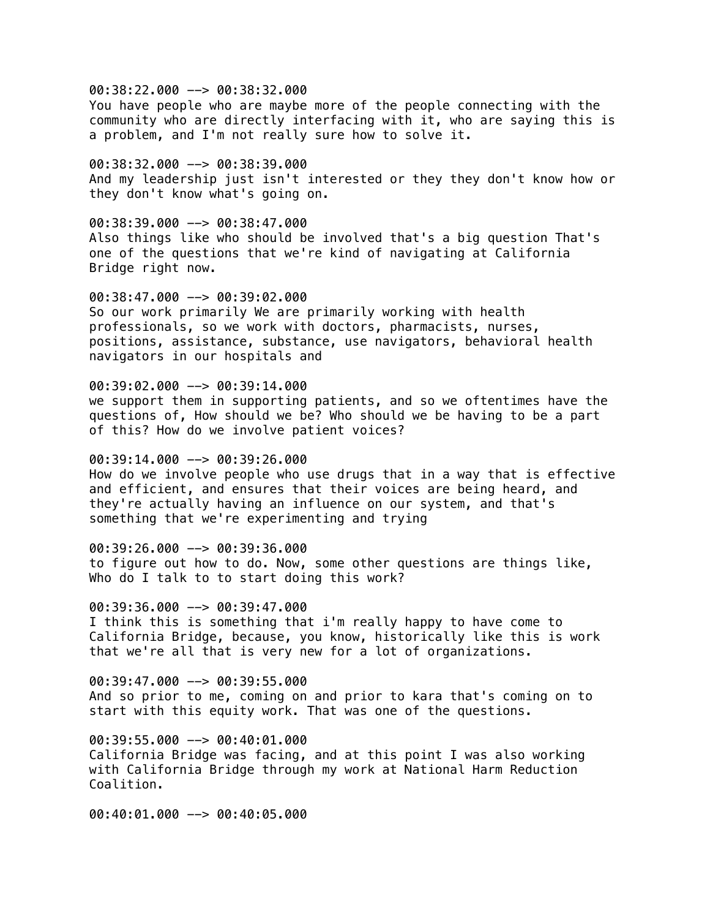00:38:22.000 --> 00:38:32.000

You have people who are maybe more of the people connecting with the community who are directly interfacing with it, who are saying this is a problem, and I'm not really sure how to solve it.

00:38:32.000 --> 00:38:39.000 And my leadership just isn't interested or they they don't know how or they don't know what's going on.

00:38:39.000 --> 00:38:47.000 Also things like who should be involved that's a big question That's one of the questions that we're kind of navigating at California Bridge right now.

00:38:47.000 --> 00:39:02.000 So our work primarily We are primarily working with health professionals, so we work with doctors, pharmacists, nurses, positions, assistance, substance, use navigators, behavioral health navigators in our hospitals and

### 00:39:02.000 --> 00:39:14.000

we support them in supporting patients, and so we oftentimes have the questions of, How should we be? Who should we be having to be a part of this? How do we involve patient voices?

### $00:39:14.000$  -->  $00:39:26.000$

How do we involve people who use drugs that in a way that is effective and efficient, and ensures that their voices are being heard, and they're actually having an influence on our system, and that's something that we're experimenting and trying

### 00:39:26.000 --> 00:39:36.000

to figure out how to do. Now, some other questions are things like, Who do I talk to to start doing this work?

00:39:36.000 --> 00:39:47.000

I think this is something that i'm really happy to have come to California Bridge, because, you know, historically like this is work that we're all that is very new for a lot of organizations.

00:39:47.000 --> 00:39:55.000 And so prior to me, coming on and prior to kara that's coming on to start with this equity work. That was one of the questions.

00:39:55.000 --> 00:40:01.000

California Bridge was facing, and at this point I was also working with California Bridge through my work at National Harm Reduction Coalition.

00:40:01.000 --> 00:40:05.000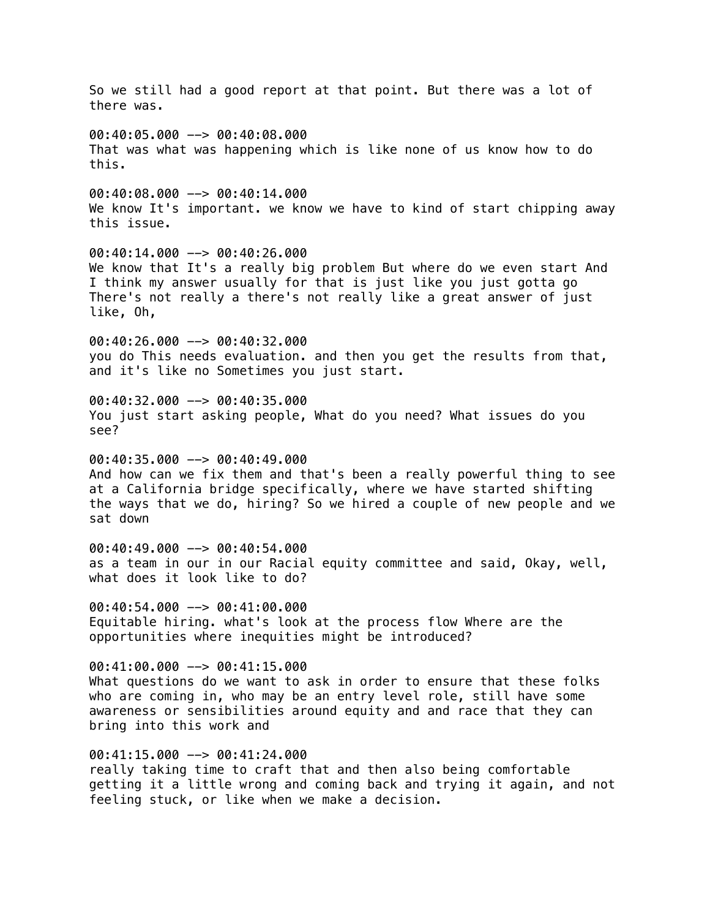So we still had a good report at that point. But there was a lot of there was. 00:40:05.000 --> 00:40:08.000 That was what was happening which is like none of us know how to do this.  $00:40:08.000$  -->  $00:40:14.000$ We know It's important. we know we have to kind of start chipping away this issue. 00:40:14.000 --> 00:40:26.000 We know that It's a really big problem But where do we even start And I think my answer usually for that is just like you just gotta go There's not really a there's not really like a great answer of just like, Oh, 00:40:26.000 --> 00:40:32.000 you do This needs evaluation. and then you get the results from that, and it's like no Sometimes you just start. 00:40:32.000 --> 00:40:35.000 You just start asking people, What do you need? What issues do you see? 00:40:35.000 --> 00:40:49.000 And how can we fix them and that's been a really powerful thing to see at a California bridge specifically, where we have started shifting the ways that we do, hiring? So we hired a couple of new people and we sat down 00:40:49.000 --> 00:40:54.000 as a team in our in our Racial equity committee and said, Okay, well, what does it look like to do? 00:40:54.000 --> 00:41:00.000 Equitable hiring. what's look at the process flow Where are the opportunities where inequities might be introduced? 00:41:00.000 --> 00:41:15.000 What questions do we want to ask in order to ensure that these folks who are coming in, who may be an entry level role, still have some awareness or sensibilities around equity and and race that they can bring into this work and 00:41:15.000 --> 00:41:24.000 really taking time to craft that and then also being comfortable getting it a little wrong and coming back and trying it again, and not feeling stuck, or like when we make a decision.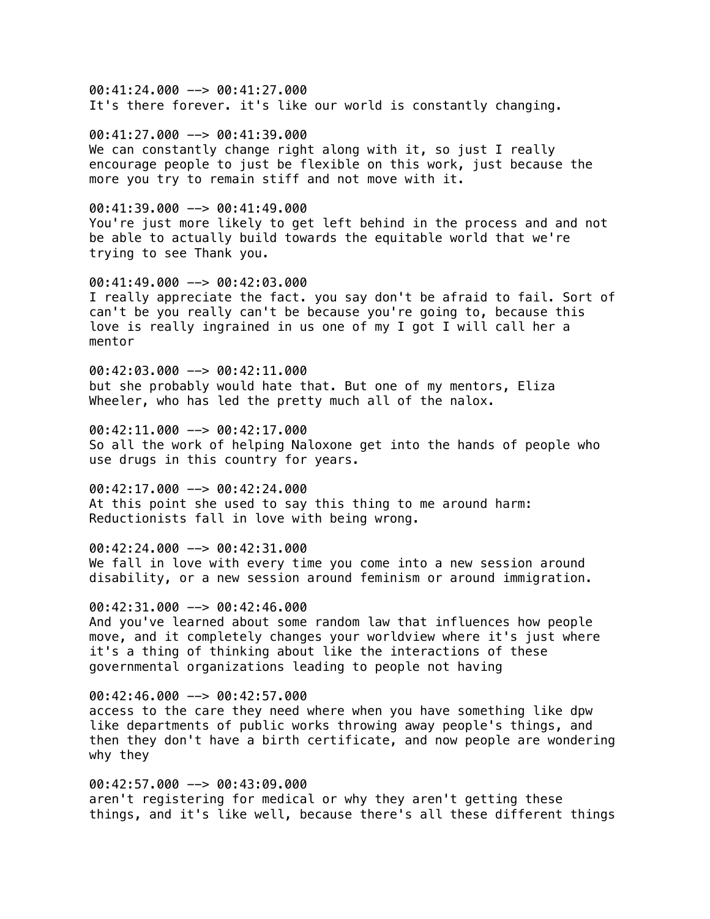00:41:24.000 --> 00:41:27.000 It's there forever. it's like our world is constantly changing.

00:41:27.000 --> 00:41:39.000 We can constantly change right along with it, so just I really encourage people to just be flexible on this work, just because the more you try to remain stiff and not move with it.

00:41:39.000 --> 00:41:49.000 You're just more likely to get left behind in the process and and not be able to actually build towards the equitable world that we're trying to see Thank you.

00:41:49.000 --> 00:42:03.000 I really appreciate the fact. you say don't be afraid to fail. Sort of can't be you really can't be because you're going to, because this love is really ingrained in us one of my I got I will call her a mentor

00:42:03.000 --> 00:42:11.000 but she probably would hate that. But one of my mentors, Eliza Wheeler, who has led the pretty much all of the nalox.

 $00:42:11.000$  -->  $00:42:17.000$ So all the work of helping Naloxone get into the hands of people who use drugs in this country for years.

 $00:42:17.000$  -->  $00:42:24.000$ At this point she used to say this thing to me around harm: Reductionists fall in love with being wrong.

00:42:24.000 --> 00:42:31.000 We fall in love with every time you come into a new session around disability, or a new session around feminism or around immigration.

00:42:31.000 --> 00:42:46.000 And you've learned about some random law that influences how people move, and it completely changes your worldview where it's just where it's a thing of thinking about like the interactions of these governmental organizations leading to people not having

00:42:46.000 --> 00:42:57.000 access to the care they need where when you have something like dpw like departments of public works throwing away people's things, and then they don't have a birth certificate, and now people are wondering why they

00:42:57.000 --> 00:43:09.000 aren't registering for medical or why they aren't getting these things, and it's like well, because there's all these different things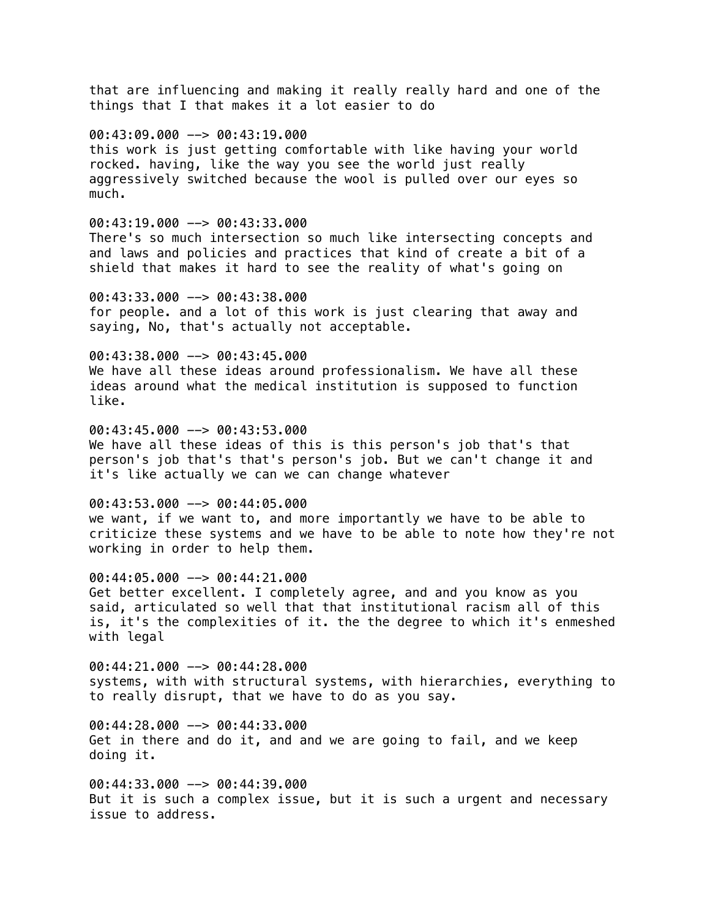that are influencing and making it really really hard and one of the things that I that makes it a lot easier to do

### 00:43:09.000 --> 00:43:19.000

this work is just getting comfortable with like having your world rocked. having, like the way you see the world just really aggressively switched because the wool is pulled over our eyes so much.

## 00:43:19.000 --> 00:43:33.000

There's so much intersection so much like intersecting concepts and and laws and policies and practices that kind of create a bit of a shield that makes it hard to see the reality of what's going on

00:43:33.000 --> 00:43:38.000 for people. and a lot of this work is just clearing that away and saying, No, that's actually not acceptable.

#### 00:43:38.000 --> 00:43:45.000

We have all these ideas around professionalism. We have all these ideas around what the medical institution is supposed to function like.

 $00:43:45.000$  -->  $00:43:53.000$ 

We have all these ideas of this is this person's job that's that person's job that's that's person's job. But we can't change it and it's like actually we can we can change whatever

## 00:43:53.000 --> 00:44:05.000

we want, if we want to, and more importantly we have to be able to criticize these systems and we have to be able to note how they're not working in order to help them.

00:44:05.000 --> 00:44:21.000 Get better excellent. I completely agree, and and you know as you said, articulated so well that that institutional racism all of this is, it's the complexities of it. the the degree to which it's enmeshed with legal

00:44:21.000 --> 00:44:28.000 systems, with with structural systems, with hierarchies, everything to to really disrupt, that we have to do as you say.

00:44:28.000 --> 00:44:33.000 Get in there and do it, and and we are going to fail, and we keep doing it.

00:44:33.000 --> 00:44:39.000 But it is such a complex issue, but it is such a urgent and necessary issue to address.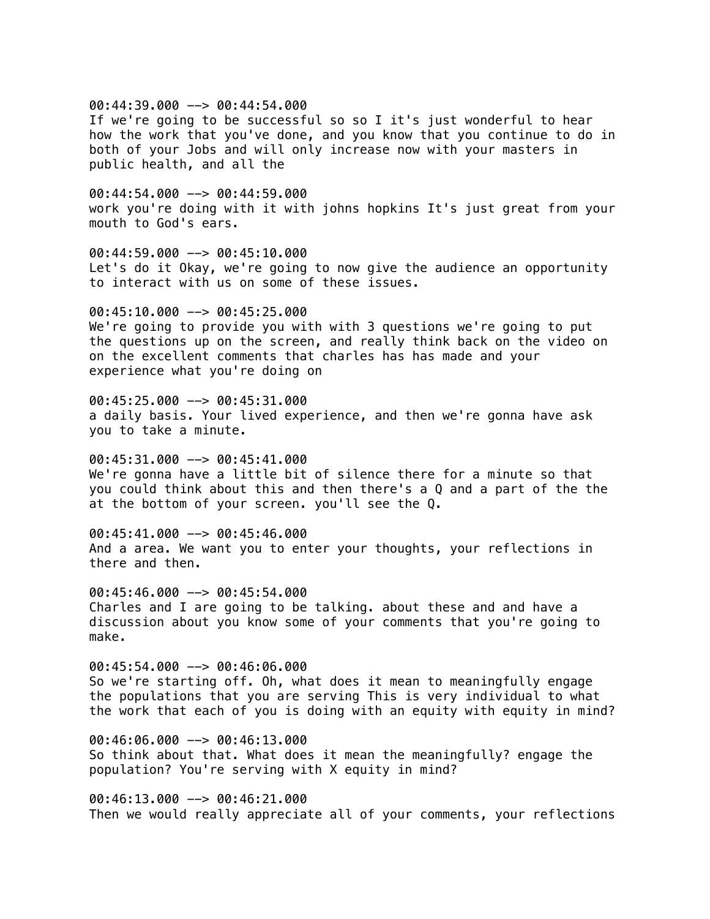00:44:39.000 --> 00:44:54.000

If we're going to be successful so so I it's just wonderful to hear how the work that you've done, and you know that you continue to do in both of your Jobs and will only increase now with your masters in public health, and all the

00:44:54.000 --> 00:44:59.000 work you're doing with it with johns hopkins It's just great from your mouth to God's ears.

00:44:59.000 --> 00:45:10.000 Let's do it Okay, we're going to now give the audience an opportunity to interact with us on some of these issues.

00:45:10.000 --> 00:45:25.000 We're going to provide you with with 3 questions we're going to put the questions up on the screen, and really think back on the video on on the excellent comments that charles has has made and your experience what you're doing on

00:45:25.000 --> 00:45:31.000 a daily basis. Your lived experience, and then we're gonna have ask you to take a minute.

00:45:31.000 --> 00:45:41.000 We're gonna have a little bit of silence there for a minute so that you could think about this and then there's a Q and a part of the the at the bottom of your screen. you'll see the Q.

00:45:41.000 --> 00:45:46.000 And a area. We want you to enter your thoughts, your reflections in there and then.

 $00:45:46.000$  -->  $00:45:54.000$ Charles and I are going to be talking. about these and and have a discussion about you know some of your comments that you're going to make.

00:45:54.000 --> 00:46:06.000 So we're starting off. Oh, what does it mean to meaningfully engage the populations that you are serving This is very individual to what the work that each of you is doing with an equity with equity in mind?

00:46:06.000 --> 00:46:13.000 So think about that. What does it mean the meaningfully? engage the population? You're serving with X equity in mind?

00:46:13.000 --> 00:46:21.000 Then we would really appreciate all of your comments, your reflections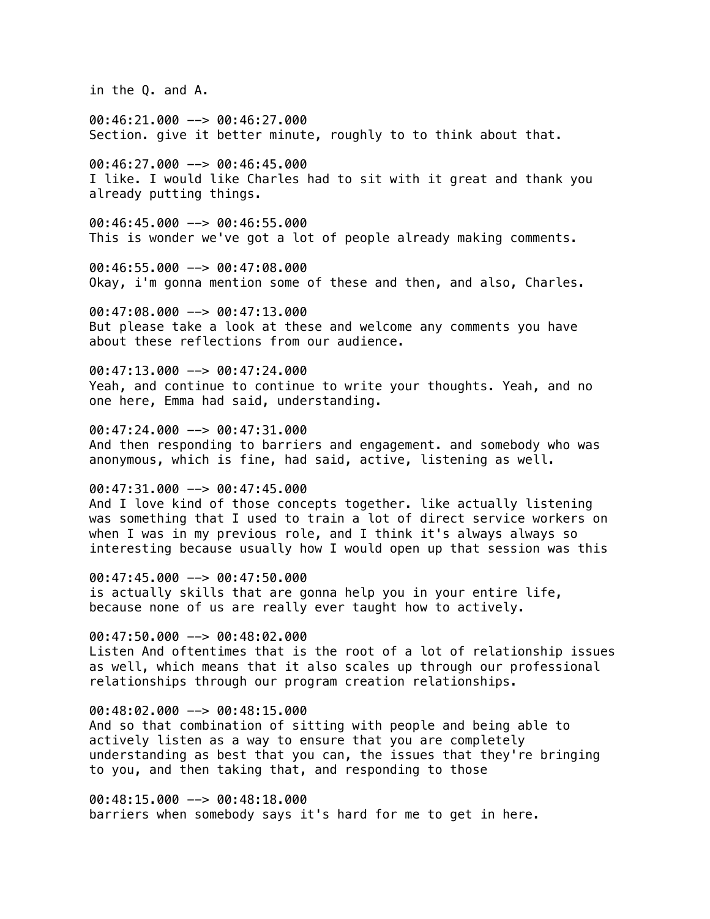in the Q. and A.

00:46:21.000 --> 00:46:27.000 Section. give it better minute, roughly to to think about that.

00:46:27.000 --> 00:46:45.000 I like. I would like Charles had to sit with it great and thank you already putting things.

00:46:45.000 --> 00:46:55.000 This is wonder we've got a lot of people already making comments.

00:46:55.000 --> 00:47:08.000 Okay, i'm gonna mention some of these and then, and also, Charles.

00:47:08.000 --> 00:47:13.000 But please take a look at these and welcome any comments you have about these reflections from our audience.

 $00:47:13.000$  -->  $00:47:24.000$ Yeah, and continue to continue to write your thoughts. Yeah, and no one here, Emma had said, understanding.

00:47:24.000 --> 00:47:31.000 And then responding to barriers and engagement. and somebody who was anonymous, which is fine, had said, active, listening as well.

#### 00:47:31.000 --> 00:47:45.000

And I love kind of those concepts together. like actually listening was something that I used to train a lot of direct service workers on when I was in my previous role, and I think it's always always so interesting because usually how I would open up that session was this

00:47:45.000 --> 00:47:50.000

is actually skills that are gonna help you in your entire life, because none of us are really ever taught how to actively.

00:47:50.000 --> 00:48:02.000 Listen And oftentimes that is the root of a lot of relationship issues as well, which means that it also scales up through our professional relationships through our program creation relationships.

#### 00:48:02.000 --> 00:48:15.000

And so that combination of sitting with people and being able to actively listen as a way to ensure that you are completely understanding as best that you can, the issues that they're bringing to you, and then taking that, and responding to those

00:48:15.000 --> 00:48:18.000 barriers when somebody says it's hard for me to get in here.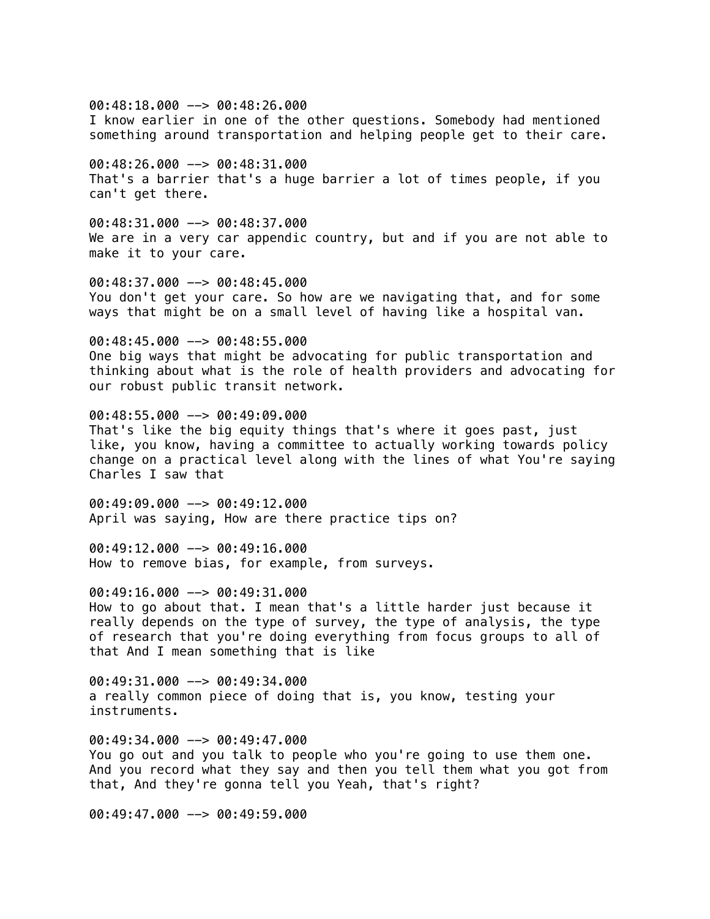$00:48:18.000$  -->  $00:48:26.000$ I know earlier in one of the other questions. Somebody had mentioned something around transportation and helping people get to their care. 00:48:26.000 --> 00:48:31.000 That's a barrier that's a huge barrier a lot of times people, if you can't get there. 00:48:31.000 --> 00:48:37.000 We are in a very car appendic country, but and if you are not able to make it to your care. 00:48:37.000 --> 00:48:45.000 You don't get your care. So how are we navigating that, and for some ways that might be on a small level of having like a hospital van. 00:48:45.000 --> 00:48:55.000 One big ways that might be advocating for public transportation and thinking about what is the role of health providers and advocating for our robust public transit network. 00:48:55.000 --> 00:49:09.000 That's like the big equity things that's where it goes past, just like, you know, having a committee to actually working towards policy change on a practical level along with the lines of what You're saying Charles I saw that 00:49:09.000 --> 00:49:12.000 April was saying, How are there practice tips on? 00:49:12.000 --> 00:49:16.000 How to remove bias, for example, from surveys. 00:49:16.000 --> 00:49:31.000 How to go about that. I mean that's a little harder just because it really depends on the type of survey, the type of analysis, the type of research that you're doing everything from focus groups to all of that And I mean something that is like 00:49:31.000 --> 00:49:34.000 a really common piece of doing that is, you know, testing your instruments.

00:49:34.000 --> 00:49:47.000 You go out and you talk to people who you're going to use them one. And you record what they say and then you tell them what you got from that, And they're gonna tell you Yeah, that's right?

00:49:47.000 --> 00:49:59.000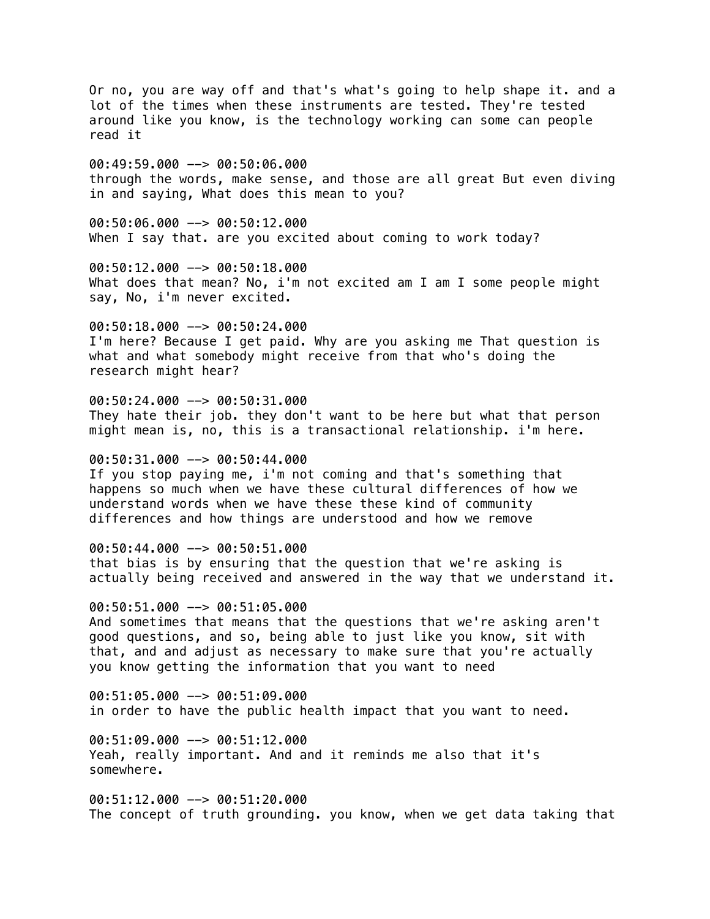Or no, you are way off and that's what's going to help shape it. and a lot of the times when these instruments are tested. They're tested around like you know, is the technology working can some can people read it 00:49:59.000 --> 00:50:06.000 through the words, make sense, and those are all great But even diving in and saying, What does this mean to you? 00:50:06.000 --> 00:50:12.000 When I say that. are you excited about coming to work today? 00:50:12.000 --> 00:50:18.000 What does that mean? No, i'm not excited am I am I some people might say, No, i'm never excited. 00:50:18.000 --> 00:50:24.000 I'm here? Because I get paid. Why are you asking me That question is what and what somebody might receive from that who's doing the research might hear? 00:50:24.000 --> 00:50:31.000 They hate their job. they don't want to be here but what that person might mean is, no, this is a transactional relationship. i'm here. 00:50:31.000 --> 00:50:44.000 If you stop paying me, i'm not coming and that's something that happens so much when we have these cultural differences of how we understand words when we have these these kind of community differences and how things are understood and how we remove 00:50:44.000 --> 00:50:51.000 that bias is by ensuring that the question that we're asking is actually being received and answered in the way that we understand it. 00:50:51.000 --> 00:51:05.000 And sometimes that means that the questions that we're asking aren't good questions, and so, being able to just like you know, sit with that, and and adjust as necessary to make sure that you're actually you know getting the information that you want to need 00:51:05.000 --> 00:51:09.000 in order to have the public health impact that you want to need. 00:51:09.000 --> 00:51:12.000 Yeah, really important. And and it reminds me also that it's somewhere. 00:51:12.000 --> 00:51:20.000 The concept of truth grounding. you know, when we get data taking that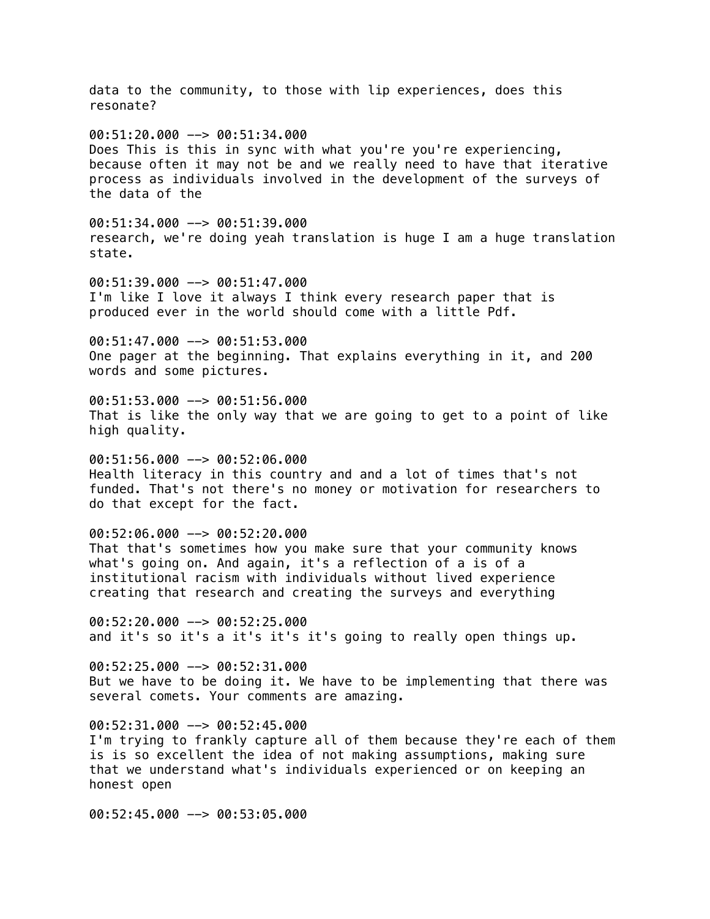data to the community, to those with lip experiences, does this resonate? 00:51:20.000 --> 00:51:34.000 Does This is this in sync with what you're you're experiencing, because often it may not be and we really need to have that iterative process as individuals involved in the development of the surveys of the data of the 00:51:34.000 --> 00:51:39.000 research, we're doing yeah translation is huge I am a huge translation state. 00:51:39.000 --> 00:51:47.000 I'm like I love it always I think every research paper that is produced ever in the world should come with a little Pdf. 00:51:47.000 --> 00:51:53.000 One pager at the beginning. That explains everything in it, and 200 words and some pictures. 00:51:53.000 --> 00:51:56.000 That is like the only way that we are going to get to a point of like high quality. 00:51:56.000 --> 00:52:06.000 Health literacy in this country and and a lot of times that's not funded. That's not there's no money or motivation for researchers to do that except for the fact. 00:52:06.000 --> 00:52:20.000 That that's sometimes how you make sure that your community knows what's going on. And again, it's a reflection of a is of a institutional racism with individuals without lived experience creating that research and creating the surveys and everything  $00:52:20.000$  -->  $00:52:25.000$ and it's so it's a it's it's it's going to really open things up. 00:52:25.000 --> 00:52:31.000 But we have to be doing it. We have to be implementing that there was several comets. Your comments are amazing. 00:52:31.000 --> 00:52:45.000 I'm trying to frankly capture all of them because they're each of them is is so excellent the idea of not making assumptions, making sure that we understand what's individuals experienced or on keeping an honest open 00:52:45.000 --> 00:53:05.000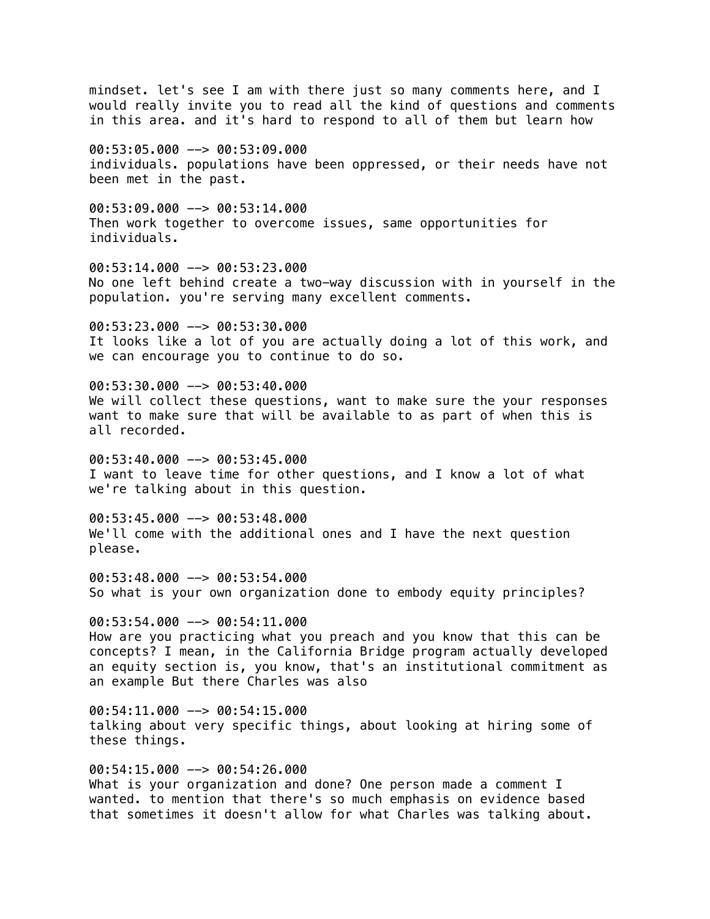mindset. let's see I am with there just so many comments here, and I would really invite you to read all the kind of questions and comments in this area. and it's hard to respond to all of them but learn how

00:53:05.000 --> 00:53:09.000 individuals. populations have been oppressed, or their needs have not been met in the past.

 $00:53:09.000$  -->  $00:53:14.000$ Then work together to overcome issues, same opportunities for individuals.

00:53:14.000 --> 00:53:23.000 No one left behind create a two-way discussion with in yourself in the population. you're serving many excellent comments.

00:53:23.000 --> 00:53:30.000 It looks like a lot of you are actually doing a lot of this work, and we can encourage you to continue to do so.

00:53:30.000 --> 00:53:40.000 We will collect these questions, want to make sure the your responses want to make sure that will be available to as part of when this is all recorded.

00:53:40.000 --> 00:53:45.000 I want to leave time for other questions, and I know a lot of what we're talking about in this question.

 $00:53:45.000$  -->  $00:53:48.000$ We'll come with the additional ones and I have the next question please.

00:53:48.000 --> 00:53:54.000 So what is your own organization done to embody equity principles?

 $00:53:54.000$  -->  $00:54:11.000$ How are you practicing what you preach and you know that this can be concepts? I mean, in the California Bridge program actually developed an equity section is, you know, that's an institutional commitment as an example But there Charles was also

 $00:54:11.000$  -->  $00:54:15.000$ talking about very specific things, about looking at hiring some of these things.

00:54:15.000 --> 00:54:26.000 What is your organization and done? One person made a comment I wanted. to mention that there's so much emphasis on evidence based that sometimes it doesn't allow for what Charles was talking about.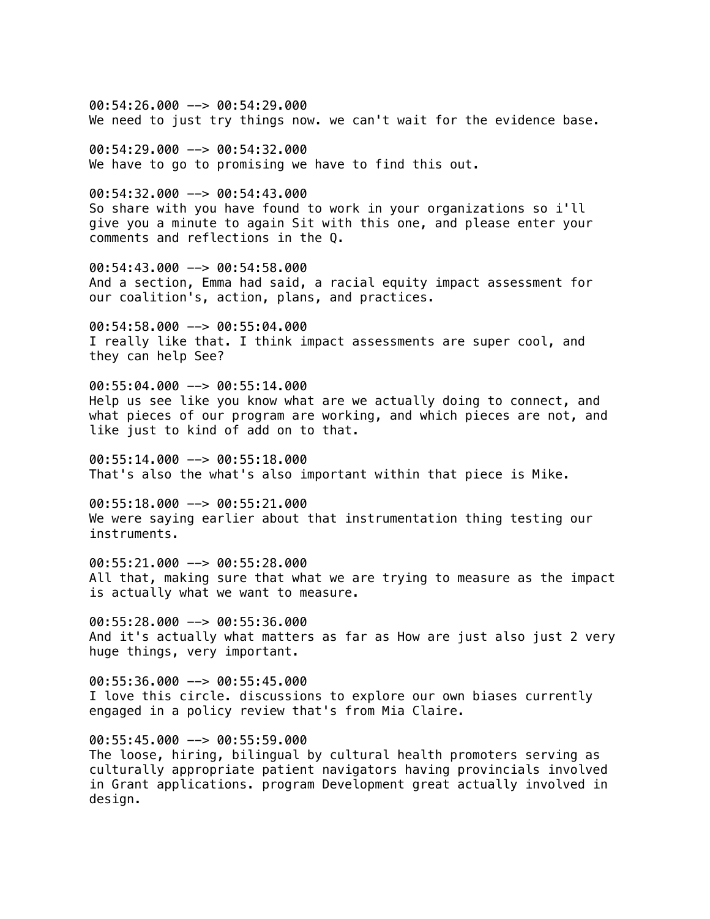$00:54:26.000$  -->  $00:54:29.000$ We need to just try things now. we can't wait for the evidence base.

 $00:54:29.000$  -->  $00:54:32.000$ We have to go to promising we have to find this out.

00:54:32.000 --> 00:54:43.000 So share with you have found to work in your organizations so i'll give you a minute to again Sit with this one, and please enter your comments and reflections in the Q.

00:54:43.000 --> 00:54:58.000 And a section, Emma had said, a racial equity impact assessment for our coalition's, action, plans, and practices.

00:54:58.000 --> 00:55:04.000 I really like that. I think impact assessments are super cool, and they can help See?

00:55:04.000 --> 00:55:14.000 Help us see like you know what are we actually doing to connect, and what pieces of our program are working, and which pieces are not, and like just to kind of add on to that.

 $00:55:14.000$  -->  $00:55:18.000$ That's also the what's also important within that piece is Mike.

00:55:18.000 --> 00:55:21.000 We were saying earlier about that instrumentation thing testing our instruments.

00:55:21.000 --> 00:55:28.000 All that, making sure that what we are trying to measure as the impact is actually what we want to measure.

 $00:55:28.000$  -->  $00:55:36.000$ And it's actually what matters as far as How are just also just 2 very huge things, very important.

00:55:36.000 --> 00:55:45.000 I love this circle. discussions to explore our own biases currently engaged in a policy review that's from Mia Claire.

00:55:45.000 --> 00:55:59.000 The loose, hiring, bilingual by cultural health promoters serving as culturally appropriate patient navigators having provincials involved in Grant applications. program Development great actually involved in design.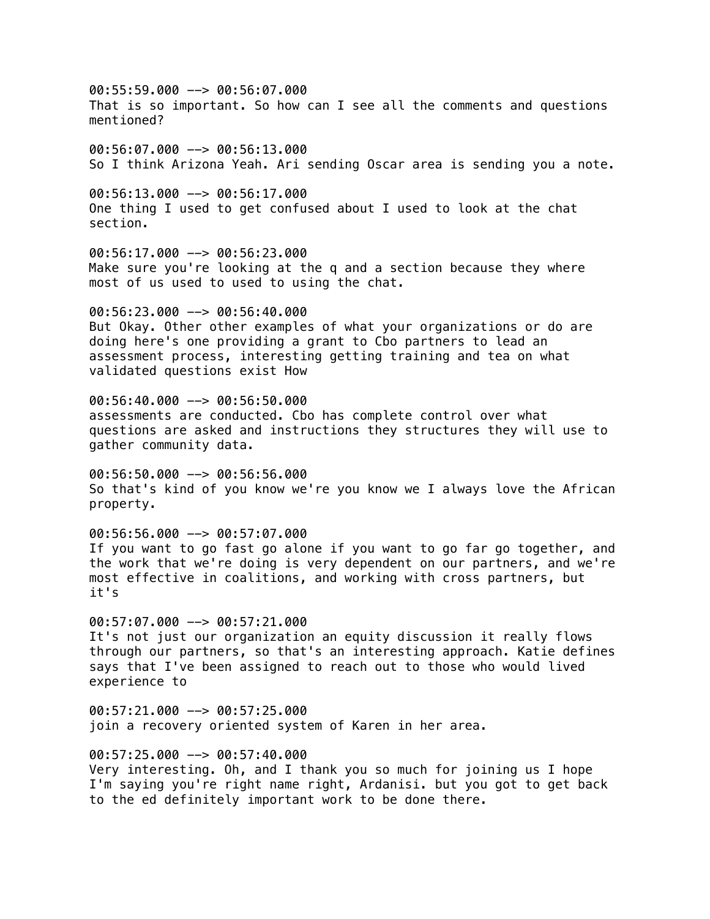00:55:59.000 --> 00:56:07.000 That is so important. So how can I see all the comments and questions mentioned?

00:56:07.000 --> 00:56:13.000 So I think Arizona Yeah. Ari sending Oscar area is sending you a note.

 $00:56:13.000$  -->  $00:56:17.000$ One thing I used to get confused about I used to look at the chat section.

00:56:17.000 --> 00:56:23.000 Make sure you're looking at the q and a section because they where most of us used to used to using the chat.

00:56:23.000 --> 00:56:40.000 But Okay. Other other examples of what your organizations or do are doing here's one providing a grant to Cbo partners to lead an assessment process, interesting getting training and tea on what validated questions exist How

00:56:40.000 --> 00:56:50.000 assessments are conducted. Cbo has complete control over what questions are asked and instructions they structures they will use to gather community data.

00:56:50.000 --> 00:56:56.000 So that's kind of you know we're you know we I always love the African property.

00:56:56.000 --> 00:57:07.000 If you want to go fast go alone if you want to go far go together, and the work that we're doing is very dependent on our partners, and we're most effective in coalitions, and working with cross partners, but it's

 $00:57:07.000$  -->  $00:57:21.000$ It's not just our organization an equity discussion it really flows through our partners, so that's an interesting approach. Katie defines says that I've been assigned to reach out to those who would lived experience to

 $00:57:21.000$  -->  $00:57:25.000$ join a recovery oriented system of Karen in her area.

00:57:25.000 --> 00:57:40.000 Very interesting. Oh, and I thank you so much for joining us I hope I'm saying you're right name right, Ardanisi. but you got to get back to the ed definitely important work to be done there.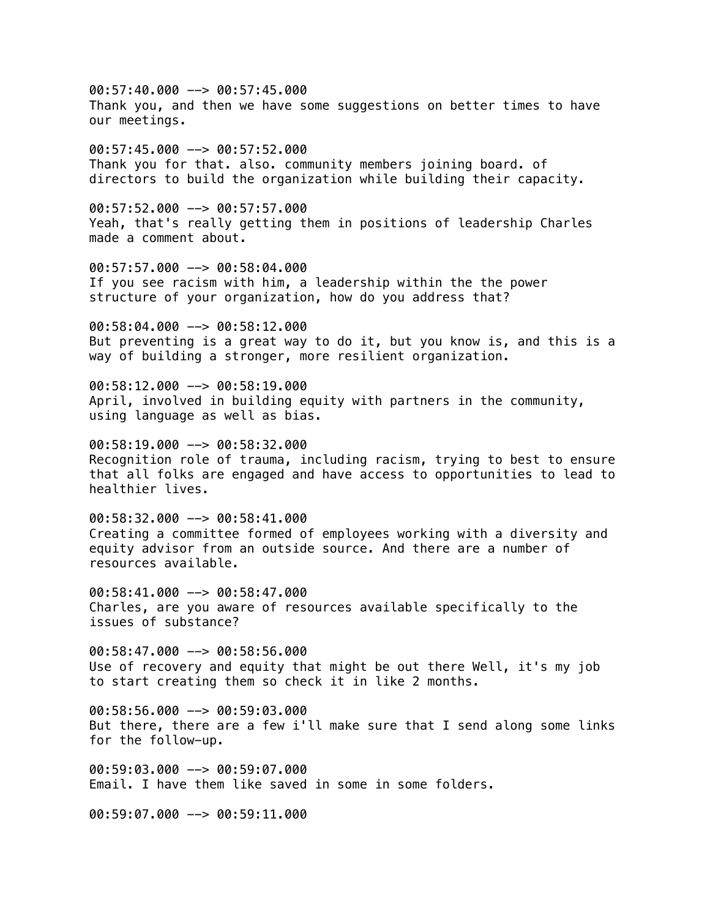00:57:40.000 --> 00:57:45.000 Thank you, and then we have some suggestions on better times to have our meetings.

 $00:57:45.000$  -->  $00:57:52.000$ Thank you for that. also. community members joining board. of directors to build the organization while building their capacity.

00:57:52.000 --> 00:57:57.000 Yeah, that's really getting them in positions of leadership Charles made a comment about.

00:57:57.000 --> 00:58:04.000 If you see racism with him, a leadership within the the power structure of your organization, how do you address that?

00:58:04.000 --> 00:58:12.000 But preventing is a great way to do it, but you know is, and this is a way of building a stronger, more resilient organization.

00:58:12.000 --> 00:58:19.000 April, involved in building equity with partners in the community, using language as well as bias.

 $00:58:19.000$   $\rightarrow$  00:58:32.000 Recognition role of trauma, including racism, trying to best to ensure that all folks are engaged and have access to opportunities to lead to healthier lives.

 $00:58:32.000$  -->  $00:58:41.000$ Creating a committee formed of employees working with a diversity and equity advisor from an outside source. And there are a number of resources available.

 $00:58:41.000$  -->  $00:58:47.000$ Charles, are you aware of resources available specifically to the issues of substance?

00:58:47.000 --> 00:58:56.000 Use of recovery and equity that might be out there Well, it's my job to start creating them so check it in like 2 months.

 $00:58:56.000$  -->  $00:59:03.000$ But there, there are a few i'll make sure that I send along some links for the follow-up.

00:59:03.000 --> 00:59:07.000 Email. I have them like saved in some in some folders.

00:59:07.000 --> 00:59:11.000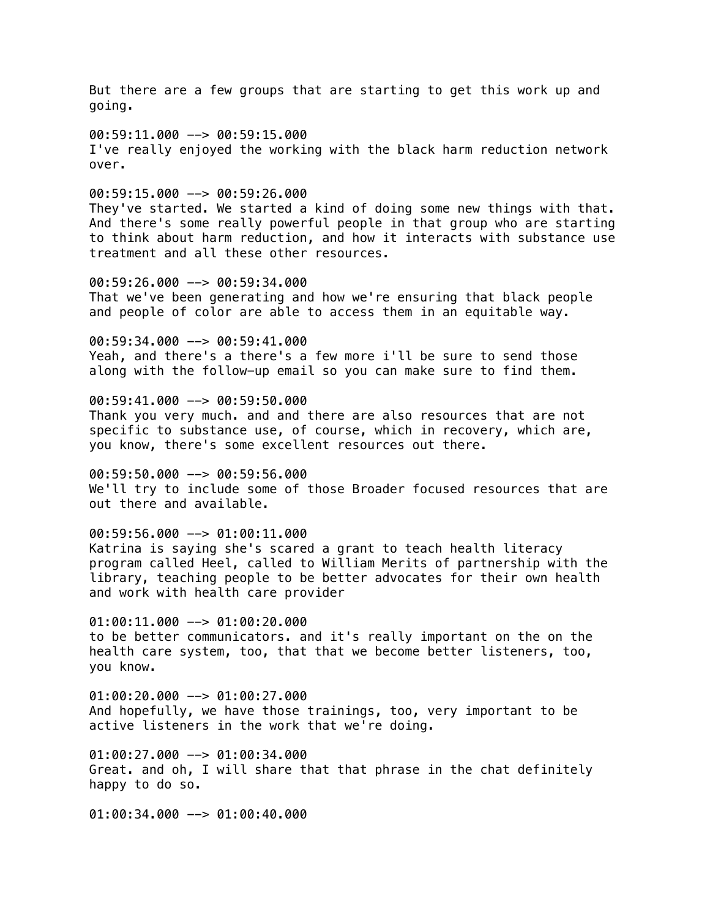But there are a few groups that are starting to get this work up and going.

00:59:11.000 --> 00:59:15.000 I've really enjoyed the working with the black harm reduction network over.

 $00:59:15.000$  -->  $00:59:26.000$ 

They've started. We started a kind of doing some new things with that. And there's some really powerful people in that group who are starting to think about harm reduction, and how it interacts with substance use treatment and all these other resources.

00:59:26.000 --> 00:59:34.000 That we've been generating and how we're ensuring that black people and people of color are able to access them in an equitable way.

00:59:34.000 --> 00:59:41.000 Yeah, and there's a there's a few more i'll be sure to send those along with the follow-up email so you can make sure to find them.

00:59:41.000 --> 00:59:50.000 Thank you very much. and and there are also resources that are not specific to substance use, of course, which in recovery, which are, you know, there's some excellent resources out there.

00:59:50.000 --> 00:59:56.000 We'll try to include some of those Broader focused resources that are out there and available.

00:59:56.000 --> 01:00:11.000 Katrina is saying she's scared a grant to teach health literacy program called Heel, called to William Merits of partnership with the library, teaching people to be better advocates for their own health and work with health care provider

 $01:00:11.000$  -->  $01:00:20.000$ to be better communicators. and it's really important on the on the health care system, too, that that we become better listeners, too, you know.

01:00:20.000 --> 01:00:27.000 And hopefully, we have those trainings, too, very important to be active listeners in the work that we're doing.

01:00:27.000 --> 01:00:34.000 Great. and oh, I will share that that phrase in the chat definitely happy to do so.

01:00:34.000 --> 01:00:40.000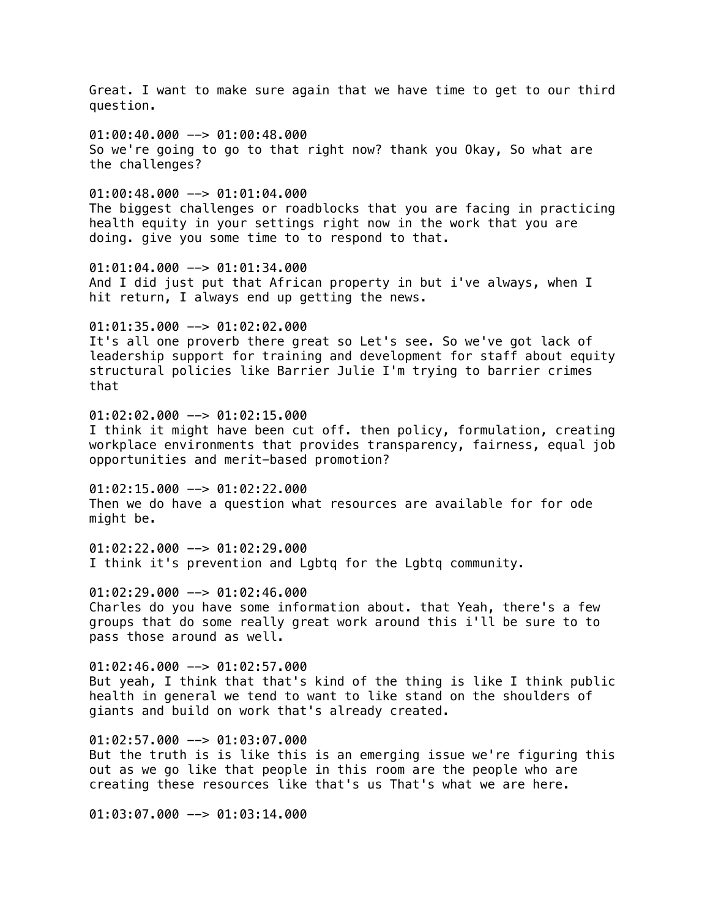Great. I want to make sure again that we have time to get to our third question.  $01:00:40.000$  -->  $01:00:48.000$ So we're going to go to that right now? thank you Okay, So what are the challenges?  $01:00:48.000$  -->  $01:01:04.000$ The biggest challenges or roadblocks that you are facing in practicing health equity in your settings right now in the work that you are doing. give you some time to to respond to that. 01:01:04.000 --> 01:01:34.000 And I did just put that African property in but i've always, when I hit return, I always end up getting the news. 01:01:35.000 --> 01:02:02.000 It's all one proverb there great so Let's see. So we've got lack of leadership support for training and development for staff about equity structural policies like Barrier Julie I'm trying to barrier crimes that 01:02:02.000 --> 01:02:15.000 I think it might have been cut off. then policy, formulation, creating workplace environments that provides transparency, fairness, equal job opportunities and merit-based promotion?  $01:02:15.000$  -->  $01:02:22.000$ Then we do have a question what resources are available for for ode might be. 01:02:22.000 --> 01:02:29.000 I think it's prevention and Lgbtq for the Lgbtq community.  $01:02:29.000$  -->  $01:02:46.000$ Charles do you have some information about. that Yeah, there's a few groups that do some really great work around this i'll be sure to to pass those around as well. 01:02:46.000 --> 01:02:57.000 But yeah, I think that that's kind of the thing is like I think public health in general we tend to want to like stand on the shoulders of giants and build on work that's already created.  $01:02:57.000$  -->  $01:03:07.000$ But the truth is is like this is an emerging issue we're figuring this out as we go like that people in this room are the people who are creating these resources like that's us That's what we are here. 01:03:07.000 --> 01:03:14.000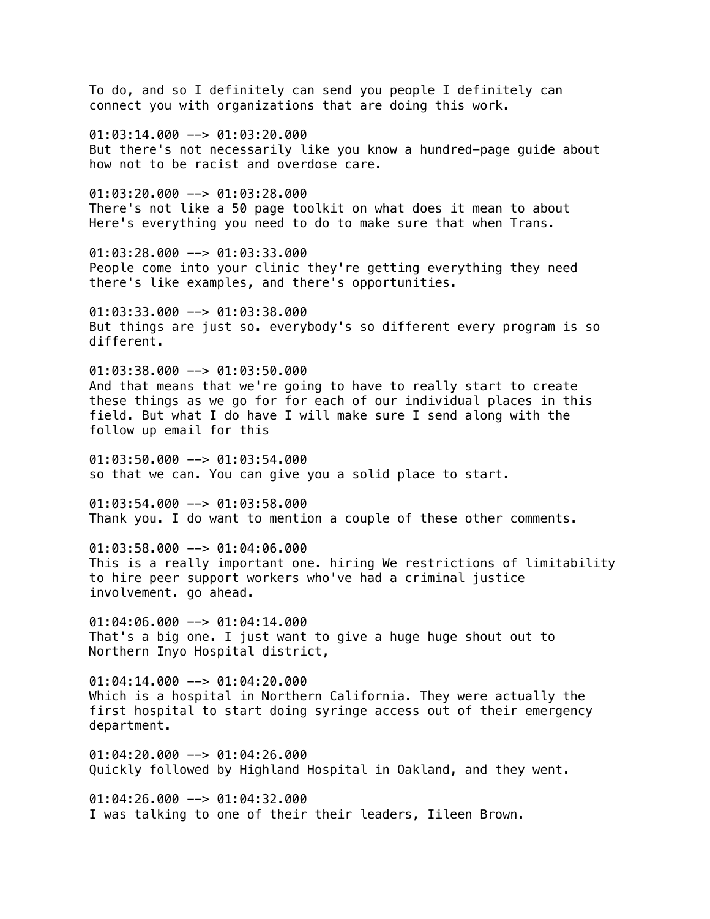To do, and so I definitely can send you people I definitely can connect you with organizations that are doing this work. 01:03:14.000 --> 01:03:20.000 But there's not necessarily like you know a hundred-page guide about how not to be racist and overdose care.  $01:03:20.000$  -->  $01:03:28.000$ There's not like a 50 page toolkit on what does it mean to about Here's everything you need to do to make sure that when Trans. 01:03:28.000 --> 01:03:33.000 People come into your clinic they're getting everything they need there's like examples, and there's opportunities. 01:03:33.000 --> 01:03:38.000 But things are just so. everybody's so different every program is so different.  $01:03:38.000$  -->  $01:03:50.000$ And that means that we're going to have to really start to create these things as we go for for each of our individual places in this field. But what I do have I will make sure I send along with the follow up email for this 01:03:50.000 --> 01:03:54.000 so that we can. You can give you a solid place to start. 01:03:54.000 --> 01:03:58.000 Thank you. I do want to mention a couple of these other comments. 01:03:58.000 --> 01:04:06.000 This is a really important one. hiring We restrictions of limitability to hire peer support workers who've had a criminal justice involvement. go ahead.  $01:04:06.000$  -->  $01:04:14.000$ That's a big one. I just want to give a huge huge shout out to Northern Inyo Hospital district,  $01:04:14.000$  -->  $01:04:20.000$ Which is a hospital in Northern California. They were actually the first hospital to start doing syringe access out of their emergency department. 01:04:20.000 --> 01:04:26.000 Quickly followed by Highland Hospital in Oakland, and they went. 01:04:26.000 --> 01:04:32.000 I was talking to one of their their leaders, Iileen Brown.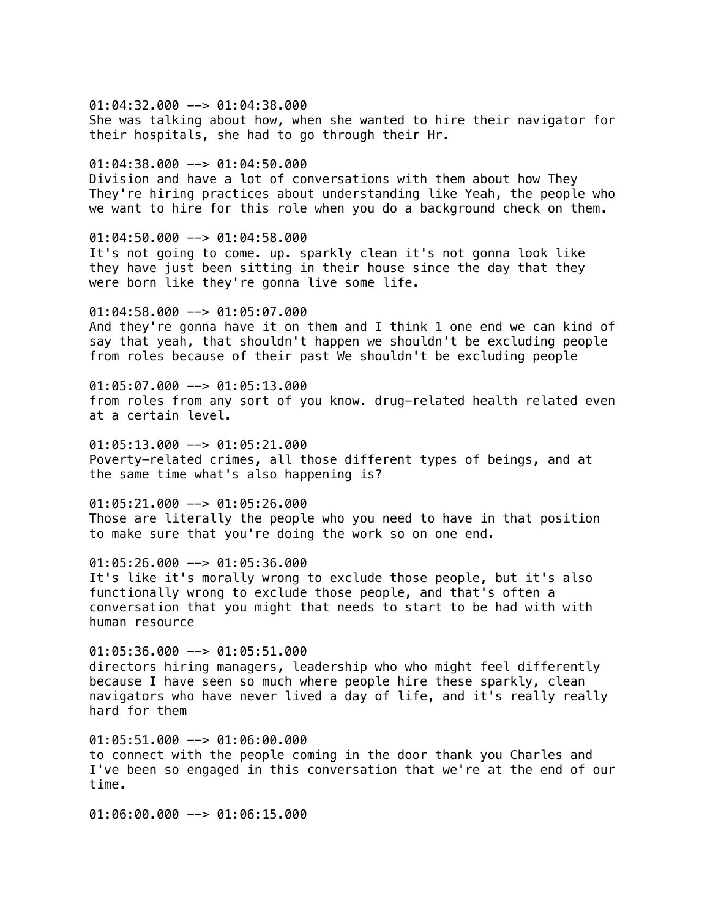$01:04:32.000$  -->  $01:04:38.000$ She was talking about how, when she wanted to hire their navigator for their hospitals, she had to go through their Hr.

 $01:04:38.000$  -->  $01:04:50.000$ 

Division and have a lot of conversations with them about how They They're hiring practices about understanding like Yeah, the people who we want to hire for this role when you do a background check on them.

01:04:50.000 --> 01:04:58.000 It's not going to come. up. sparkly clean it's not gonna look like they have just been sitting in their house since the day that they were born like they're gonna live some life.

01:04:58.000 --> 01:05:07.000 And they're gonna have it on them and I think 1 one end we can kind of say that yeah, that shouldn't happen we shouldn't be excluding people from roles because of their past We shouldn't be excluding people

 $01:05:07.000$  -->  $01:05:13.000$ from roles from any sort of you know. drug-related health related even at a certain level.

 $01:05:13.000$  -->  $01:05:21.000$ Poverty-related crimes, all those different types of beings, and at the same time what's also happening is?

01:05:21.000 --> 01:05:26.000 Those are literally the people who you need to have in that position to make sure that you're doing the work so on one end.

01:05:26.000 --> 01:05:36.000 It's like it's morally wrong to exclude those people, but it's also functionally wrong to exclude those people, and that's often a conversation that you might that needs to start to be had with with human resource

 $01:05:36.000$  -->  $01:05:51.000$ directors hiring managers, leadership who who might feel differently because I have seen so much where people hire these sparkly, clean navigators who have never lived a day of life, and it's really really hard for them

 $01:05:51.000$  -->  $01:06:00.000$ to connect with the people coming in the door thank you Charles and I've been so engaged in this conversation that we're at the end of our time.

01:06:00.000 --> 01:06:15.000